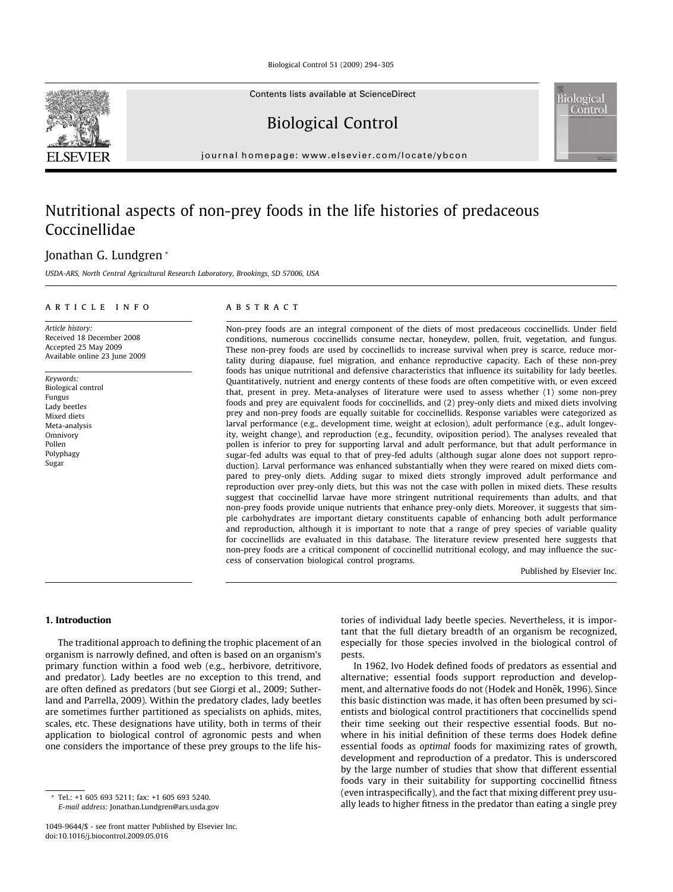Biological Control 51 (2009) 294–305

Contents lists available at ScienceDirect



Biological Control



**Biological** 

journal homepage: www.elsevier.com/locate/ybcon

# Nutritional aspects of non-prey foods in the life histories of predaceous Coccinellidae

# Jonathan G. Lundgren \*

USDA-ARS, North Central Agricultural Research Laboratory, Brookings, SD 57006, USA

# article info

Article history: Received 18 December 2008 Accepted 25 May 2009 Available online 23 June 2009

Keywords: Biological control Fungus Lady beetles Mixed diets Meta-analysis Omnivory Pollen Polyphagy Sugar

# **ABSTRACT**

Non-prey foods are an integral component of the diets of most predaceous coccinellids. Under field conditions, numerous coccinellids consume nectar, honeydew, pollen, fruit, vegetation, and fungus. These non-prey foods are used by coccinellids to increase survival when prey is scarce, reduce mortality during diapause, fuel migration, and enhance reproductive capacity. Each of these non-prey foods has unique nutritional and defensive characteristics that influence its suitability for lady beetles. Quantitatively, nutrient and energy contents of these foods are often competitive with, or even exceed that, present in prey. Meta-analyses of literature were used to assess whether (1) some non-prey foods and prey are equivalent foods for coccinellids, and (2) prey-only diets and mixed diets involving prey and non-prey foods are equally suitable for coccinellids. Response variables were categorized as larval performance (e.g., development time, weight at eclosion), adult performance (e.g., adult longevity, weight change), and reproduction (e.g., fecundity, oviposition period). The analyses revealed that pollen is inferior to prey for supporting larval and adult performance, but that adult performance in sugar-fed adults was equal to that of prey-fed adults (although sugar alone does not support reproduction). Larval performance was enhanced substantially when they were reared on mixed diets compared to prey-only diets. Adding sugar to mixed diets strongly improved adult performance and reproduction over prey-only diets, but this was not the case with pollen in mixed diets. These results suggest that coccinellid larvae have more stringent nutritional requirements than adults, and that non-prey foods provide unique nutrients that enhance prey-only diets. Moreover, it suggests that simple carbohydrates are important dietary constituents capable of enhancing both adult performance and reproduction, although it is important to note that a range of prey species of variable quality for coccinellids are evaluated in this database. The literature review presented here suggests that non-prey foods are a critical component of coccinellid nutritional ecology, and may influence the success of conservation biological control programs.

Published by Elsevier Inc.

# 1. Introduction

The traditional approach to defining the trophic placement of an organism is narrowly defined, and often is based on an organism's primary function within a food web (e.g., herbivore, detritivore, and predator). Lady beetles are no exception to this trend, and are often defined as predators (but see Giorgi et al., 2009; Sutherland and Parrella, 2009). Within the predatory clades, lady beetles are sometimes further partitioned as specialists on aphids, mites, scales, etc. These designations have utility, both in terms of their application to biological control of agronomic pests and when one considers the importance of these prey groups to the life his-

\* Tel.: +1 605 693 5211; fax: +1 605 693 5240. E-mail address: Jonathan.Lundgren@ars.usda.gov tories of individual lady beetle species. Nevertheless, it is important that the full dietary breadth of an organism be recognized, especially for those species involved in the biological control of pests.

In 1962, Ivo Hodek defined foods of predators as essential and alternative; essential foods support reproduction and development, and alternative foods do not (Hodek and Honěk, 1996). Since this basic distinction was made, it has often been presumed by scientists and biological control practitioners that coccinellids spend their time seeking out their respective essential foods. But nowhere in his initial definition of these terms does Hodek define essential foods as optimal foods for maximizing rates of growth, development and reproduction of a predator. This is underscored by the large number of studies that show that different essential foods vary in their suitability for supporting coccinellid fitness (even intraspecifically), and the fact that mixing different prey usually leads to higher fitness in the predator than eating a single prey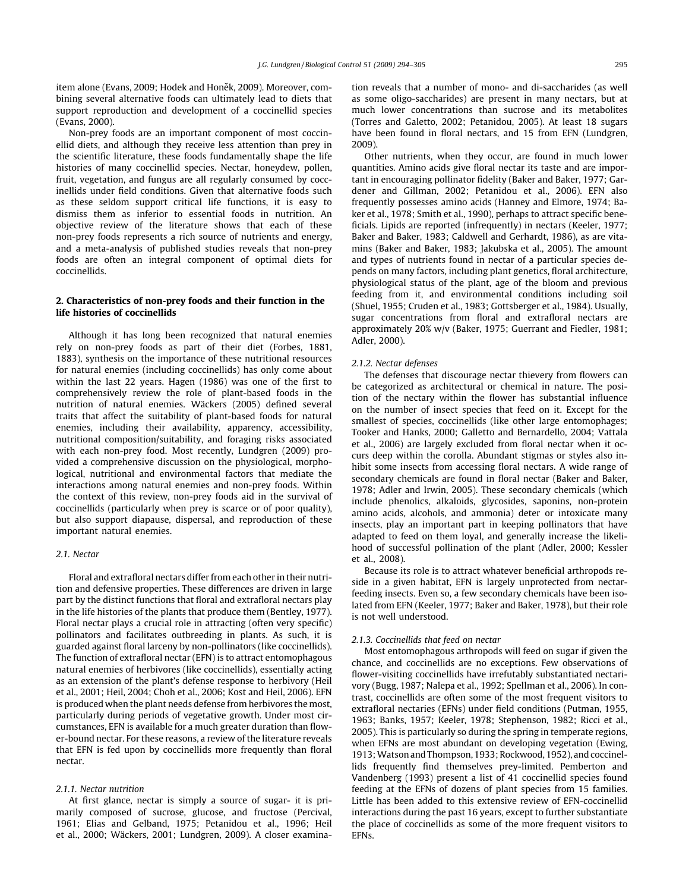item alone (Evans, 2009; Hodek and Honěk, 2009). Moreover, combining several alternative foods can ultimately lead to diets that support reproduction and development of a coccinellid species (Evans, 2000).

Non-prey foods are an important component of most coccinellid diets, and although they receive less attention than prey in the scientific literature, these foods fundamentally shape the life histories of many coccinellid species. Nectar, honeydew, pollen, fruit, vegetation, and fungus are all regularly consumed by coccinellids under field conditions. Given that alternative foods such as these seldom support critical life functions, it is easy to dismiss them as inferior to essential foods in nutrition. An objective review of the literature shows that each of these non-prey foods represents a rich source of nutrients and energy, and a meta-analysis of published studies reveals that non-prey foods are often an integral component of optimal diets for coccinellids.

# 2. Characteristics of non-prey foods and their function in the life histories of coccinellids

Although it has long been recognized that natural enemies rely on non-prey foods as part of their diet (Forbes, 1881, 1883), synthesis on the importance of these nutritional resources for natural enemies (including coccinellids) has only come about within the last 22 years. Hagen (1986) was one of the first to comprehensively review the role of plant-based foods in the nutrition of natural enemies. Wäckers (2005) defined several traits that affect the suitability of plant-based foods for natural enemies, including their availability, apparency, accessibility, nutritional composition/suitability, and foraging risks associated with each non-prey food. Most recently, Lundgren (2009) provided a comprehensive discussion on the physiological, morphological, nutritional and environmental factors that mediate the interactions among natural enemies and non-prey foods. Within the context of this review, non-prey foods aid in the survival of coccinellids (particularly when prey is scarce or of poor quality), but also support diapause, dispersal, and reproduction of these important natural enemies.

# 2.1. Nectar

Floral and extrafloral nectars differ from each other in their nutrition and defensive properties. These differences are driven in large part by the distinct functions that floral and extrafloral nectars play in the life histories of the plants that produce them (Bentley, 1977). Floral nectar plays a crucial role in attracting (often very specific) pollinators and facilitates outbreeding in plants. As such, it is guarded against floral larceny by non-pollinators (like coccinellids). The function of extrafloral nectar (EFN) is to attract entomophagous natural enemies of herbivores (like coccinellids), essentially acting as an extension of the plant's defense response to herbivory (Heil et al., 2001; Heil, 2004; Choh et al., 2006; Kost and Heil, 2006). EFN is produced when the plant needs defense from herbivores the most, particularly during periods of vegetative growth. Under most circumstances, EFN is available for a much greater duration than flower-bound nectar. For these reasons, a review of the literature reveals that EFN is fed upon by coccinellids more frequently than floral nectar.

# 2.1.1. Nectar nutrition

At first glance, nectar is simply a source of sugar- it is primarily composed of sucrose, glucose, and fructose (Percival, 1961; Elias and Gelband, 1975; Petanidou et al., 1996; Heil et al., 2000; Wäckers, 2001; Lundgren, 2009). A closer examina-

tion reveals that a number of mono- and di-saccharides (as well as some oligo-saccharides) are present in many nectars, but at much lower concentrations than sucrose and its metabolites (Torres and Galetto, 2002; Petanidou, 2005). At least 18 sugars have been found in floral nectars, and 15 from EFN (Lundgren, 2009).

Other nutrients, when they occur, are found in much lower quantities. Amino acids give floral nectar its taste and are important in encouraging pollinator fidelity (Baker and Baker, 1977; Gardener and Gillman, 2002; Petanidou et al., 2006). EFN also frequently possesses amino acids (Hanney and Elmore, 1974; Baker et al., 1978; Smith et al., 1990), perhaps to attract specific beneficials. Lipids are reported (infrequently) in nectars (Keeler, 1977; Baker and Baker, 1983; Caldwell and Gerhardt, 1986), as are vitamins (Baker and Baker, 1983; Jakubska et al., 2005). The amount and types of nutrients found in nectar of a particular species depends on many factors, including plant genetics, floral architecture, physiological status of the plant, age of the bloom and previous feeding from it, and environmental conditions including soil (Shuel, 1955; Cruden et al., 1983; Gottsberger et al., 1984). Usually, sugar concentrations from floral and extrafloral nectars are approximately 20% w/v (Baker, 1975; Guerrant and Fiedler, 1981; Adler, 2000).

#### 2.1.2. Nectar defenses

The defenses that discourage nectar thievery from flowers can be categorized as architectural or chemical in nature. The position of the nectary within the flower has substantial influence on the number of insect species that feed on it. Except for the smallest of species, coccinellids (like other large entomophages; Tooker and Hanks, 2000; Galletto and Bernardello, 2004; Vattala et al., 2006) are largely excluded from floral nectar when it occurs deep within the corolla. Abundant stigmas or styles also inhibit some insects from accessing floral nectars. A wide range of secondary chemicals are found in floral nectar (Baker and Baker, 1978; Adler and Irwin, 2005). These secondary chemicals (which include phenolics, alkaloids, glycosides, saponins, non-protein amino acids, alcohols, and ammonia) deter or intoxicate many insects, play an important part in keeping pollinators that have adapted to feed on them loyal, and generally increase the likelihood of successful pollination of the plant (Adler, 2000; Kessler et al., 2008).

Because its role is to attract whatever beneficial arthropods reside in a given habitat, EFN is largely unprotected from nectarfeeding insects. Even so, a few secondary chemicals have been isolated from EFN (Keeler, 1977; Baker and Baker, 1978), but their role is not well understood.

# 2.1.3. Coccinellids that feed on nectar

Most entomophagous arthropods will feed on sugar if given the chance, and coccinellids are no exceptions. Few observations of flower-visiting coccinellids have irrefutably substantiated nectarivory (Bugg, 1987; Nalepa et al., 1992; Spellman et al., 2006). In contrast, coccinellids are often some of the most frequent visitors to extrafloral nectaries (EFNs) under field conditions (Putman, 1955, 1963; Banks, 1957; Keeler, 1978; Stephenson, 1982; Ricci et al., 2005). This is particularly so during the spring in temperate regions, when EFNs are most abundant on developing vegetation (Ewing, 1913;Watson and Thompson, 1933; Rockwood, 1952), and coccinellids frequently find themselves prey-limited. Pemberton and Vandenberg (1993) present a list of 41 coccinellid species found feeding at the EFNs of dozens of plant species from 15 families. Little has been added to this extensive review of EFN-coccinellid interactions during the past 16 years, except to further substantiate the place of coccinellids as some of the more frequent visitors to EFNs.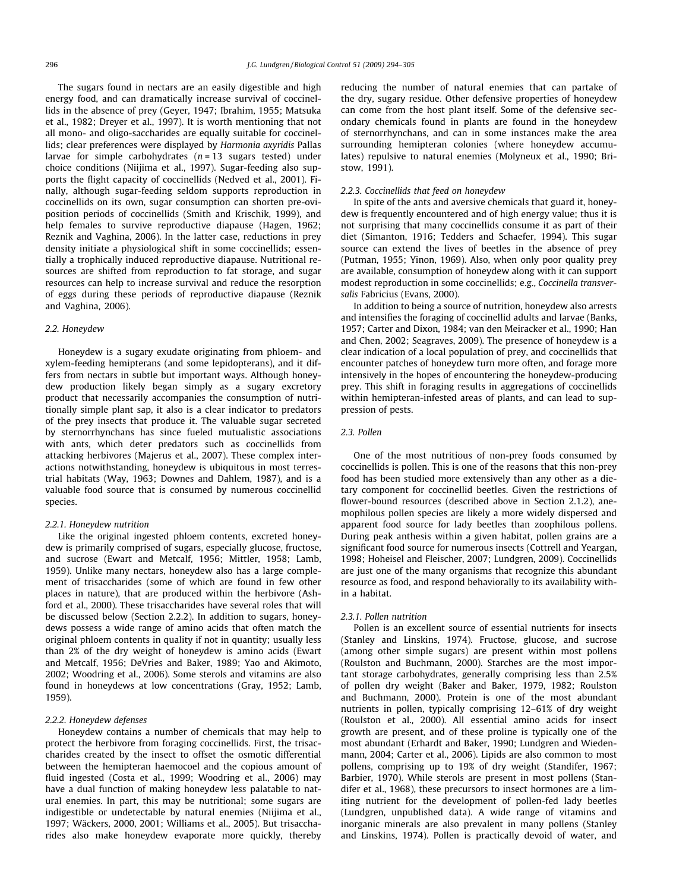The sugars found in nectars are an easily digestible and high energy food, and can dramatically increase survival of coccinellids in the absence of prey (Geyer, 1947; Ibrahim, 1955; Matsuka et al., 1982; Dreyer et al., 1997). It is worth mentioning that not all mono- and oligo-saccharides are equally suitable for coccinellids; clear preferences were displayed by Harmonia axyridis Pallas larvae for simple carbohydrates  $(n = 13$  sugars tested) under choice conditions (Niijima et al., 1997). Sugar-feeding also supports the flight capacity of coccinellids (Nedved et al., 2001). Finally, although sugar-feeding seldom supports reproduction in coccinellids on its own, sugar consumption can shorten pre-oviposition periods of coccinellids (Smith and Krischik, 1999), and help females to survive reproductive diapause (Hagen, 1962; Reznik and Vaghina, 2006). In the latter case, reductions in prey density initiate a physiological shift in some coccinellids; essentially a trophically induced reproductive diapause. Nutritional resources are shifted from reproduction to fat storage, and sugar resources can help to increase survival and reduce the resorption of eggs during these periods of reproductive diapause (Reznik and Vaghina, 2006).

#### 2.2. Honeydew

Honeydew is a sugary exudate originating from phloem- and xylem-feeding hemipterans (and some lepidopterans), and it differs from nectars in subtle but important ways. Although honeydew production likely began simply as a sugary excretory product that necessarily accompanies the consumption of nutritionally simple plant sap, it also is a clear indicator to predators of the prey insects that produce it. The valuable sugar secreted by sternorrhynchans has since fueled mutualistic associations with ants, which deter predators such as coccinellids from attacking herbivores (Majerus et al., 2007). These complex interactions notwithstanding, honeydew is ubiquitous in most terrestrial habitats (Way, 1963; Downes and Dahlem, 1987), and is a valuable food source that is consumed by numerous coccinellid species.

#### 2.2.1. Honeydew nutrition

Like the original ingested phloem contents, excreted honeydew is primarily comprised of sugars, especially glucose, fructose, and sucrose (Ewart and Metcalf, 1956; Mittler, 1958; Lamb, 1959). Unlike many nectars, honeydew also has a large complement of trisaccharides (some of which are found in few other places in nature), that are produced within the herbivore (Ashford et al., 2000). These trisaccharides have several roles that will be discussed below (Section 2.2.2). In addition to sugars, honeydews possess a wide range of amino acids that often match the original phloem contents in quality if not in quantity; usually less than 2% of the dry weight of honeydew is amino acids (Ewart and Metcalf, 1956; DeVries and Baker, 1989; Yao and Akimoto, 2002; Woodring et al., 2006). Some sterols and vitamins are also found in honeydews at low concentrations (Gray, 1952; Lamb, 1959).

#### 2.2.2. Honeydew defenses

Honeydew contains a number of chemicals that may help to protect the herbivore from foraging coccinellids. First, the trisaccharides created by the insect to offset the osmotic differential between the hemipteran haemocoel and the copious amount of fluid ingested (Costa et al., 1999; Woodring et al., 2006) may have a dual function of making honeydew less palatable to natural enemies. In part, this may be nutritional; some sugars are indigestible or undetectable by natural enemies (Niijima et al., 1997; Wäckers, 2000, 2001; Williams et al., 2005). But trisaccharides also make honeydew evaporate more quickly, thereby reducing the number of natural enemies that can partake of the dry, sugary residue. Other defensive properties of honeydew can come from the host plant itself. Some of the defensive secondary chemicals found in plants are found in the honeydew of sternorrhynchans, and can in some instances make the area surrounding hemipteran colonies (where honeydew accumulates) repulsive to natural enemies (Molyneux et al., 1990; Bristow, 1991).

# 2.2.3. Coccinellids that feed on honeydew

In spite of the ants and aversive chemicals that guard it, honeydew is frequently encountered and of high energy value; thus it is not surprising that many coccinellids consume it as part of their diet (Simanton, 1916; Tedders and Schaefer, 1994). This sugar source can extend the lives of beetles in the absence of prey (Putman, 1955; Yinon, 1969). Also, when only poor quality prey are available, consumption of honeydew along with it can support modest reproduction in some coccinellids; e.g., Coccinella transversalis Fabricius (Evans, 2000).

In addition to being a source of nutrition, honeydew also arrests and intensifies the foraging of coccinellid adults and larvae (Banks, 1957; Carter and Dixon, 1984; van den Meiracker et al., 1990; Han and Chen, 2002; Seagraves, 2009). The presence of honeydew is a clear indication of a local population of prey, and coccinellids that encounter patches of honeydew turn more often, and forage more intensively in the hopes of encountering the honeydew-producing prey. This shift in foraging results in aggregations of coccinellids within hemipteran-infested areas of plants, and can lead to suppression of pests.

# 2.3. Pollen

One of the most nutritious of non-prey foods consumed by coccinellids is pollen. This is one of the reasons that this non-prey food has been studied more extensively than any other as a dietary component for coccinellid beetles. Given the restrictions of flower-bound resources (described above in Section 2.1.2), anemophilous pollen species are likely a more widely dispersed and apparent food source for lady beetles than zoophilous pollens. During peak anthesis within a given habitat, pollen grains are a significant food source for numerous insects (Cottrell and Yeargan, 1998; Hoheisel and Fleischer, 2007; Lundgren, 2009). Coccinellids are just one of the many organisms that recognize this abundant resource as food, and respond behaviorally to its availability within a habitat.

# 2.3.1. Pollen nutrition

Pollen is an excellent source of essential nutrients for insects (Stanley and Linskins, 1974). Fructose, glucose, and sucrose (among other simple sugars) are present within most pollens (Roulston and Buchmann, 2000). Starches are the most important storage carbohydrates, generally comprising less than 2.5% of pollen dry weight (Baker and Baker, 1979, 1982; Roulston and Buchmann, 2000). Protein is one of the most abundant nutrients in pollen, typically comprising 12–61% of dry weight (Roulston et al., 2000). All essential amino acids for insect growth are present, and of these proline is typically one of the most abundant (Erhardt and Baker, 1990; Lundgren and Wiedenmann, 2004; Carter et al., 2006). Lipids are also common to most pollens, comprising up to 19% of dry weight (Standifer, 1967; Barbier, 1970). While sterols are present in most pollens (Standifer et al., 1968), these precursors to insect hormones are a limiting nutrient for the development of pollen-fed lady beetles (Lundgren, unpublished data). A wide range of vitamins and inorganic minerals are also prevalent in many pollens (Stanley and Linskins, 1974). Pollen is practically devoid of water, and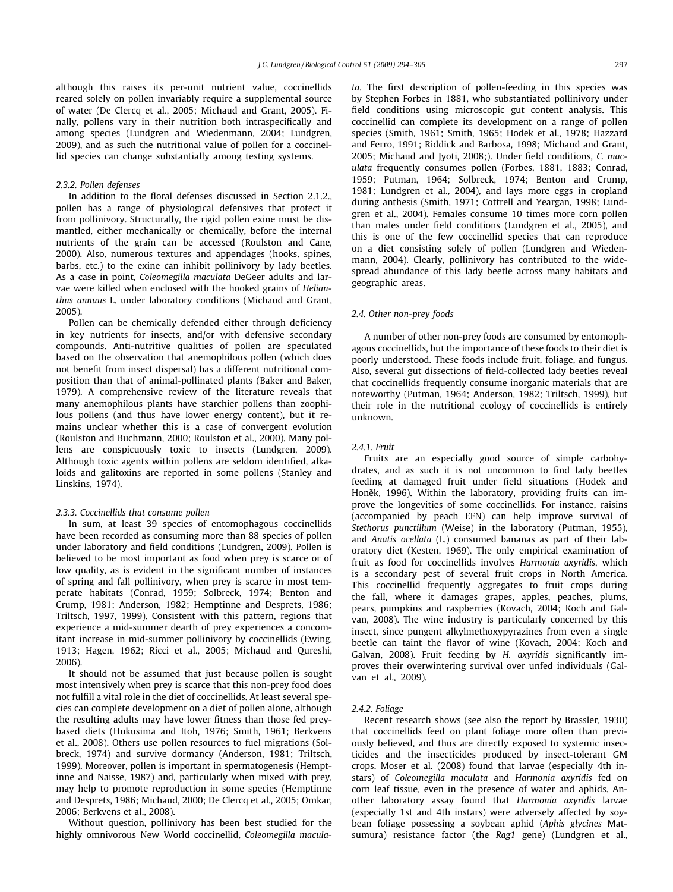although this raises its per-unit nutrient value, coccinellids reared solely on pollen invariably require a supplemental source of water (De Clercq et al., 2005; Michaud and Grant, 2005). Finally, pollens vary in their nutrition both intraspecifically and among species (Lundgren and Wiedenmann, 2004; Lundgren, 2009), and as such the nutritional value of pollen for a coccinellid species can change substantially among testing systems.

# 2.3.2. Pollen defenses

In addition to the floral defenses discussed in Section 2.1.2., pollen has a range of physiological defensives that protect it from pollinivory. Structurally, the rigid pollen exine must be dismantled, either mechanically or chemically, before the internal nutrients of the grain can be accessed (Roulston and Cane, 2000). Also, numerous textures and appendages (hooks, spines, barbs, etc.) to the exine can inhibit pollinivory by lady beetles. As a case in point, Coleomegilla maculata DeGeer adults and larvae were killed when enclosed with the hooked grains of Helianthus annuus L. under laboratory conditions (Michaud and Grant, 2005).

Pollen can be chemically defended either through deficiency in key nutrients for insects, and/or with defensive secondary compounds. Anti-nutritive qualities of pollen are speculated based on the observation that anemophilous pollen (which does not benefit from insect dispersal) has a different nutritional composition than that of animal-pollinated plants (Baker and Baker, 1979). A comprehensive review of the literature reveals that many anemophilous plants have starchier pollens than zoophilous pollens (and thus have lower energy content), but it remains unclear whether this is a case of convergent evolution (Roulston and Buchmann, 2000; Roulston et al., 2000). Many pollens are conspicuously toxic to insects (Lundgren, 2009). Although toxic agents within pollens are seldom identified, alkaloids and galitoxins are reported in some pollens (Stanley and Linskins, 1974).

#### 2.3.3. Coccinellids that consume pollen

In sum, at least 39 species of entomophagous coccinellids have been recorded as consuming more than 88 species of pollen under laboratory and field conditions (Lundgren, 2009). Pollen is believed to be most important as food when prey is scarce or of low quality, as is evident in the significant number of instances of spring and fall pollinivory, when prey is scarce in most temperate habitats (Conrad, 1959; Solbreck, 1974; Benton and Crump, 1981; Anderson, 1982; Hemptinne and Desprets, 1986; Triltsch, 1997, 1999). Consistent with this pattern, regions that experience a mid-summer dearth of prey experiences a concomitant increase in mid-summer pollinivory by coccinellids (Ewing, 1913; Hagen, 1962; Ricci et al., 2005; Michaud and Qureshi, 2006).

It should not be assumed that just because pollen is sought most intensively when prey is scarce that this non-prey food does not fulfill a vital role in the diet of coccinellids. At least several species can complete development on a diet of pollen alone, although the resulting adults may have lower fitness than those fed preybased diets (Hukusima and Itoh, 1976; Smith, 1961; Berkvens et al., 2008). Others use pollen resources to fuel migrations (Solbreck, 1974) and survive dormancy (Anderson, 1981; Triltsch, 1999). Moreover, pollen is important in spermatogenesis (Hemptinne and Naisse, 1987) and, particularly when mixed with prey, may help to promote reproduction in some species (Hemptinne and Desprets, 1986; Michaud, 2000; De Clercq et al., 2005; Omkar, 2006; Berkvens et al., 2008).

Without question, pollinivory has been best studied for the highly omnivorous New World coccinellid, Coleomegilla macula-

ta. The first description of pollen-feeding in this species was by Stephen Forbes in 1881, who substantiated pollinivory under field conditions using microscopic gut content analysis. This coccinellid can complete its development on a range of pollen species (Smith, 1961; Smith, 1965; Hodek et al., 1978; Hazzard and Ferro, 1991; Riddick and Barbosa, 1998; Michaud and Grant, 2005; Michaud and Jyoti, 2008;). Under field conditions, C. maculata frequently consumes pollen (Forbes, 1881, 1883; Conrad, 1959; Putman, 1964; Solbreck, 1974; Benton and Crump, 1981; Lundgren et al., 2004), and lays more eggs in cropland during anthesis (Smith, 1971; Cottrell and Yeargan, 1998; Lundgren et al., 2004). Females consume 10 times more corn pollen than males under field conditions (Lundgren et al., 2005), and this is one of the few coccinellid species that can reproduce on a diet consisting solely of pollen (Lundgren and Wiedenmann, 2004). Clearly, pollinivory has contributed to the widespread abundance of this lady beetle across many habitats and geographic areas.

#### 2.4. Other non-prey foods

A number of other non-prey foods are consumed by entomophagous coccinellids, but the importance of these foods to their diet is poorly understood. These foods include fruit, foliage, and fungus. Also, several gut dissections of field-collected lady beetles reveal that coccinellids frequently consume inorganic materials that are noteworthy (Putman, 1964; Anderson, 1982; Triltsch, 1999), but their role in the nutritional ecology of coccinellids is entirely unknown.

#### 2.4.1. Fruit

Fruits are an especially good source of simple carbohydrates, and as such it is not uncommon to find lady beetles feeding at damaged fruit under field situations (Hodek and Honěk, 1996). Within the laboratory, providing fruits can improve the longevities of some coccinellids. For instance, raisins (accompanied by peach EFN) can help improve survival of Stethorus punctillum (Weise) in the laboratory (Putman, 1955), and Anatis ocellata (L.) consumed bananas as part of their laboratory diet (Kesten, 1969). The only empirical examination of fruit as food for coccinellids involves Harmonia axyridis, which is a secondary pest of several fruit crops in North America. This coccinellid frequently aggregates to fruit crops during the fall, where it damages grapes, apples, peaches, plums, pears, pumpkins and raspberries (Kovach, 2004; Koch and Galvan, 2008). The wine industry is particularly concerned by this insect, since pungent alkylmethoxypyrazines from even a single beetle can taint the flavor of wine (Kovach, 2004; Koch and Galvan, 2008). Fruit feeding by H. axyridis significantly improves their overwintering survival over unfed individuals (Galvan et al., 2009).

# 2.4.2. Foliage

Recent research shows (see also the report by Brassler, 1930) that coccinellids feed on plant foliage more often than previously believed, and thus are directly exposed to systemic insecticides and the insecticides produced by insect-tolerant GM crops. Moser et al. (2008) found that larvae (especially 4th instars) of Coleomegilla maculata and Harmonia axyridis fed on corn leaf tissue, even in the presence of water and aphids. Another laboratory assay found that Harmonia axyridis larvae (especially 1st and 4th instars) were adversely affected by soybean foliage possessing a soybean aphid (Aphis glycines Matsumura) resistance factor (the Rag1 gene) (Lundgren et al.,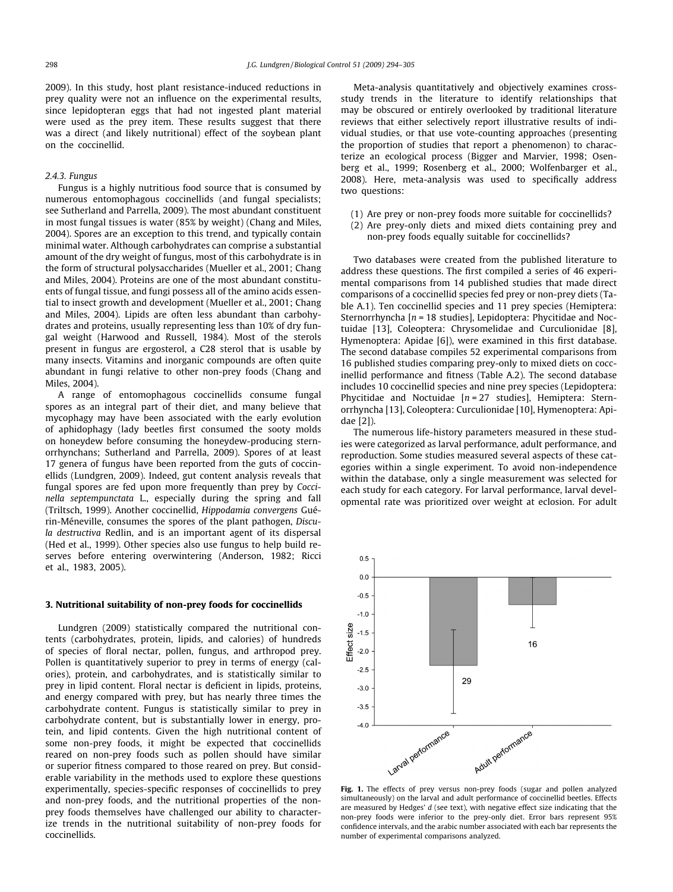2009). In this study, host plant resistance-induced reductions in prey quality were not an influence on the experimental results, since lepidopteran eggs that had not ingested plant material were used as the prey item. These results suggest that there was a direct (and likely nutritional) effect of the soybean plant on the coccinellid.

#### 2.4.3. Fungus

Fungus is a highly nutritious food source that is consumed by numerous entomophagous coccinellids (and fungal specialists; see Sutherland and Parrella, 2009). The most abundant constituent in most fungal tissues is water (85% by weight) (Chang and Miles, 2004). Spores are an exception to this trend, and typically contain minimal water. Although carbohydrates can comprise a substantial amount of the dry weight of fungus, most of this carbohydrate is in the form of structural polysaccharides (Mueller et al., 2001; Chang and Miles, 2004). Proteins are one of the most abundant constituents of fungal tissue, and fungi possess all of the amino acids essential to insect growth and development (Mueller et al., 2001; Chang and Miles, 2004). Lipids are often less abundant than carbohydrates and proteins, usually representing less than 10% of dry fungal weight (Harwood and Russell, 1984). Most of the sterols present in fungus are ergosterol, a C28 sterol that is usable by many insects. Vitamins and inorganic compounds are often quite abundant in fungi relative to other non-prey foods (Chang and Miles, 2004).

A range of entomophagous coccinellids consume fungal spores as an integral part of their diet, and many believe that mycophagy may have been associated with the early evolution of aphidophagy (lady beetles first consumed the sooty molds on honeydew before consuming the honeydew-producing sternorrhynchans; Sutherland and Parrella, 2009). Spores of at least 17 genera of fungus have been reported from the guts of coccinellids (Lundgren, 2009). Indeed, gut content analysis reveals that fungal spores are fed upon more frequently than prey by Coccinella septempunctata L., especially during the spring and fall (Triltsch, 1999). Another coccinellid, Hippodamia convergens Guérin-Méneville, consumes the spores of the plant pathogen, Discula destructiva Redlin, and is an important agent of its dispersal (Hed et al., 1999). Other species also use fungus to help build reserves before entering overwintering (Anderson, 1982; Ricci et al., 1983, 2005).

#### 3. Nutritional suitability of non-prey foods for coccinellids

Lundgren (2009) statistically compared the nutritional contents (carbohydrates, protein, lipids, and calories) of hundreds of species of floral nectar, pollen, fungus, and arthropod prey. Pollen is quantitatively superior to prey in terms of energy (calories), protein, and carbohydrates, and is statistically similar to prey in lipid content. Floral nectar is deficient in lipids, proteins, and energy compared with prey, but has nearly three times the carbohydrate content. Fungus is statistically similar to prey in carbohydrate content, but is substantially lower in energy, protein, and lipid contents. Given the high nutritional content of some non-prey foods, it might be expected that coccinellids reared on non-prey foods such as pollen should have similar or superior fitness compared to those reared on prey. But considerable variability in the methods used to explore these questions experimentally, species-specific responses of coccinellids to prey and non-prey foods, and the nutritional properties of the nonprey foods themselves have challenged our ability to characterize trends in the nutritional suitability of non-prey foods for coccinellids.

Meta-analysis quantitatively and objectively examines crossstudy trends in the literature to identify relationships that may be obscured or entirely overlooked by traditional literature reviews that either selectively report illustrative results of individual studies, or that use vote-counting approaches (presenting the proportion of studies that report a phenomenon) to characterize an ecological process (Bigger and Marvier, 1998; Osenberg et al., 1999; Rosenberg et al., 2000; Wolfenbarger et al., 2008). Here, meta-analysis was used to specifically address two questions:

- (1) Are prey or non-prey foods more suitable for coccinellids?
- (2) Are prey-only diets and mixed diets containing prey and non-prey foods equally suitable for coccinellids?

Two databases were created from the published literature to address these questions. The first compiled a series of 46 experimental comparisons from 14 published studies that made direct comparisons of a coccinellid species fed prey or non-prey diets (Table A.1). Ten coccinellid species and 11 prey species (Hemiptera: Sternorrhyncha  $[n = 18$  studies], Lepidoptera: Phycitidae and Noctuidae [13], Coleoptera: Chrysomelidae and Curculionidae [8], Hymenoptera: Apidae [6]), were examined in this first database. The second database compiles 52 experimental comparisons from 16 published studies comparing prey-only to mixed diets on coccinellid performance and fitness (Table A.2). The second database includes 10 coccinellid species and nine prey species (Lepidoptera: Phycitidae and Noctuidae  $[n = 27$  studies], Hemiptera: Sternorrhyncha [13], Coleoptera: Curculionidae [10], Hymenoptera: Apidae [2]).

The numerous life-history parameters measured in these studies were categorized as larval performance, adult performance, and reproduction. Some studies measured several aspects of these categories within a single experiment. To avoid non-independence within the database, only a single measurement was selected for each study for each category. For larval performance, larval developmental rate was prioritized over weight at eclosion. For adult



Fig. 1. The effects of prey versus non-prey foods (sugar and pollen analyzed simultaneously) on the larval and adult performance of coccinellid beetles. Effects are measured by Hedges' d (see text), with negative effect size indicating that the non-prey foods were inferior to the prey-only diet. Error bars represent 95% confidence intervals, and the arabic number associated with each bar represents the number of experimental comparisons analyzed.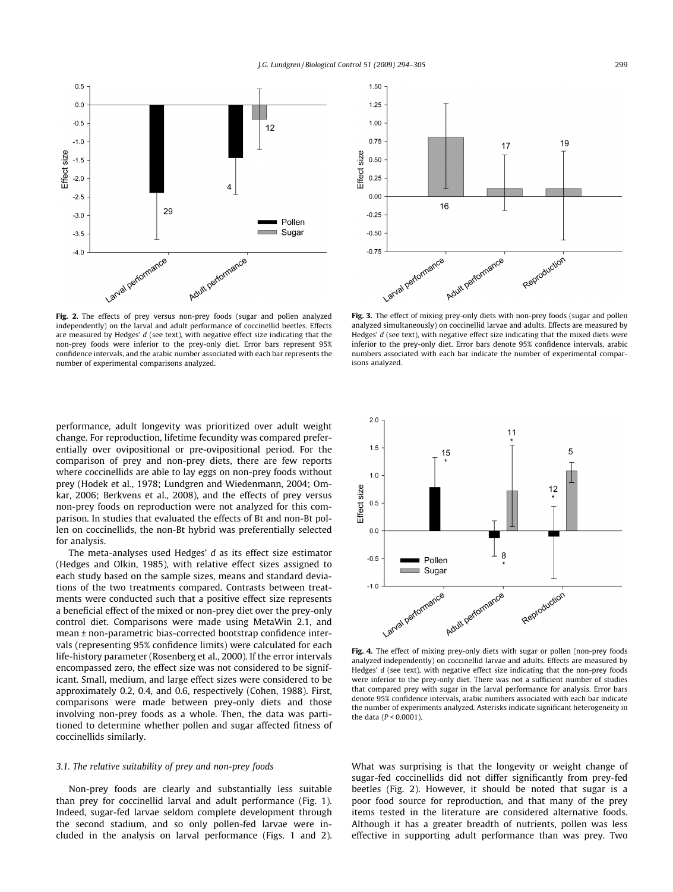J.G. Lundgren / Biological Control 51 (2009) 294–305 299



Fig. 2. The effects of prey versus non-prey foods (sugar and pollen analyzed independently) on the larval and adult performance of coccinellid beetles. Effects are measured by Hedges' d (see text), with negative effect size indicating that the non-prey foods were inferior to the prey-only diet. Error bars represent 95% confidence intervals, and the arabic number associated with each bar represents the number of experimental comparisons analyzed.

performance, adult longevity was prioritized over adult weight change. For reproduction, lifetime fecundity was compared preferentially over ovipositional or pre-ovipositional period. For the comparison of prey and non-prey diets, there are few reports where coccinellids are able to lay eggs on non-prey foods without prey (Hodek et al., 1978; Lundgren and Wiedenmann, 2004; Omkar, 2006; Berkvens et al., 2008), and the effects of prey versus non-prey foods on reproduction were not analyzed for this comparison. In studies that evaluated the effects of Bt and non-Bt pollen on coccinellids, the non-Bt hybrid was preferentially selected for analysis.

The meta-analyses used Hedges' d as its effect size estimator (Hedges and Olkin, 1985), with relative effect sizes assigned to each study based on the sample sizes, means and standard deviations of the two treatments compared. Contrasts between treatments were conducted such that a positive effect size represents a beneficial effect of the mixed or non-prey diet over the prey-only control diet. Comparisons were made using MetaWin 2.1, and mean ± non-parametric bias-corrected bootstrap confidence intervals (representing 95% confidence limits) were calculated for each life-history parameter (Rosenberg et al., 2000). If the error intervals encompassed zero, the effect size was not considered to be significant. Small, medium, and large effect sizes were considered to be approximately 0.2, 0.4, and 0.6, respectively (Cohen, 1988). First, comparisons were made between prey-only diets and those involving non-prey foods as a whole. Then, the data was partitioned to determine whether pollen and sugar affected fitness of coccinellids similarly.

# 3.1. The relative suitability of prey and non-prey foods

Non-prey foods are clearly and substantially less suitable than prey for coccinellid larval and adult performance (Fig. 1). Indeed, sugar-fed larvae seldom complete development through the second stadium, and so only pollen-fed larvae were included in the analysis on larval performance (Figs. 1 and 2).



Fig. 3. The effect of mixing prey-only diets with non-prey foods (sugar and pollen analyzed simultaneously) on coccinellid larvae and adults. Effects are measured by Hedges' d (see text), with negative effect size indicating that the mixed diets were inferior to the prey-only diet. Error bars denote 95% confidence intervals, arabic numbers associated with each bar indicate the number of experimental comparisons analyzed.



Fig. 4. The effect of mixing prey-only diets with sugar or pollen (non-prey foods analyzed independently) on coccinellid larvae and adults. Effects are measured by Hedges' d (see text), with negative effect size indicating that the non-prey foods were inferior to the prey-only diet. There was not a sufficient number of studies that compared prey with sugar in the larval performance for analysis. Error bars denote 95% confidence intervals, arabic numbers associated with each bar indicate the number of experiments analyzed. Asterisks indicate significant heterogeneity in the data ( $P < 0.0001$ ).

What was surprising is that the longevity or weight change of sugar-fed coccinellids did not differ significantly from prey-fed beetles (Fig. 2). However, it should be noted that sugar is a poor food source for reproduction, and that many of the prey items tested in the literature are considered alternative foods. Although it has a greater breadth of nutrients, pollen was less effective in supporting adult performance than was prey. Two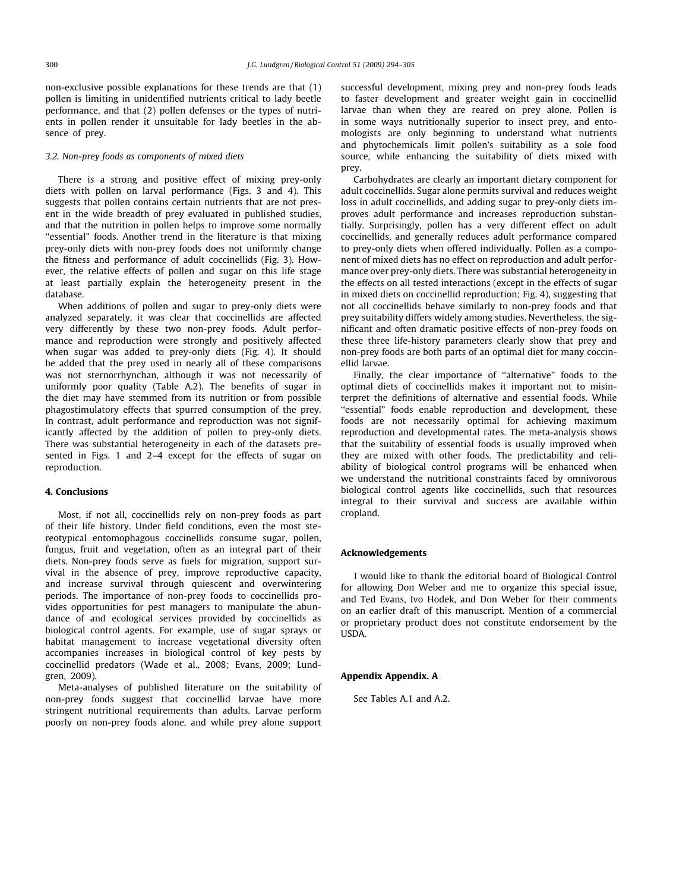non-exclusive possible explanations for these trends are that (1) pollen is limiting in unidentified nutrients critical to lady beetle performance, and that (2) pollen defenses or the types of nutrients in pollen render it unsuitable for lady beetles in the absence of prey.

# 3.2. Non-prey foods as components of mixed diets

There is a strong and positive effect of mixing prey-only diets with pollen on larval performance (Figs. 3 and 4). This suggests that pollen contains certain nutrients that are not present in the wide breadth of prey evaluated in published studies, and that the nutrition in pollen helps to improve some normally ''essential" foods. Another trend in the literature is that mixing prey-only diets with non-prey foods does not uniformly change the fitness and performance of adult coccinellids (Fig. 3). However, the relative effects of pollen and sugar on this life stage at least partially explain the heterogeneity present in the database.

When additions of pollen and sugar to prey-only diets were analyzed separately, it was clear that coccinellids are affected very differently by these two non-prey foods. Adult performance and reproduction were strongly and positively affected when sugar was added to prey-only diets (Fig. 4). It should be added that the prey used in nearly all of these comparisons was not sternorrhynchan, although it was not necessarily of uniformly poor quality (Table A.2). The benefits of sugar in the diet may have stemmed from its nutrition or from possible phagostimulatory effects that spurred consumption of the prey. In contrast, adult performance and reproduction was not significantly affected by the addition of pollen to prey-only diets. There was substantial heterogeneity in each of the datasets presented in Figs. 1 and 2–4 except for the effects of sugar on reproduction.

# 4. Conclusions

Most, if not all, coccinellids rely on non-prey foods as part of their life history. Under field conditions, even the most stereotypical entomophagous coccinellids consume sugar, pollen, fungus, fruit and vegetation, often as an integral part of their diets. Non-prey foods serve as fuels for migration, support survival in the absence of prey, improve reproductive capacity, and increase survival through quiescent and overwintering periods. The importance of non-prey foods to coccinellids provides opportunities for pest managers to manipulate the abundance of and ecological services provided by coccinellids as biological control agents. For example, use of sugar sprays or habitat management to increase vegetational diversity often accompanies increases in biological control of key pests by coccinellid predators (Wade et al., 2008; Evans, 2009; Lundgren, 2009).

Meta-analyses of published literature on the suitability of non-prey foods suggest that coccinellid larvae have more stringent nutritional requirements than adults. Larvae perform poorly on non-prey foods alone, and while prey alone support successful development, mixing prey and non-prey foods leads to faster development and greater weight gain in coccinellid larvae than when they are reared on prey alone. Pollen is in some ways nutritionally superior to insect prey, and entomologists are only beginning to understand what nutrients and phytochemicals limit pollen's suitability as a sole food source, while enhancing the suitability of diets mixed with prey.

Carbohydrates are clearly an important dietary component for adult coccinellids. Sugar alone permits survival and reduces weight loss in adult coccinellids, and adding sugar to prey-only diets improves adult performance and increases reproduction substantially. Surprisingly, pollen has a very different effect on adult coccinellids, and generally reduces adult performance compared to prey-only diets when offered individually. Pollen as a component of mixed diets has no effect on reproduction and adult performance over prey-only diets. There was substantial heterogeneity in the effects on all tested interactions (except in the effects of sugar in mixed diets on coccinellid reproduction; Fig. 4), suggesting that not all coccinellids behave similarly to non-prey foods and that prey suitability differs widely among studies. Nevertheless, the significant and often dramatic positive effects of non-prey foods on these three life-history parameters clearly show that prey and non-prey foods are both parts of an optimal diet for many coccinellid larvae.

Finally, the clear importance of ''alternative" foods to the optimal diets of coccinellids makes it important not to misinterpret the definitions of alternative and essential foods. While ''essential" foods enable reproduction and development, these foods are not necessarily optimal for achieving maximum reproduction and developmental rates. The meta-analysis shows that the suitability of essential foods is usually improved when they are mixed with other foods. The predictability and reliability of biological control programs will be enhanced when we understand the nutritional constraints faced by omnivorous biological control agents like coccinellids, such that resources integral to their survival and success are available within cropland.

# Acknowledgements

I would like to thank the editorial board of Biological Control for allowing Don Weber and me to organize this special issue, and Ted Evans, Ivo Hodek, and Don Weber for their comments on an earlier draft of this manuscript. Mention of a commercial or proprietary product does not constitute endorsement by the USDA.

#### Appendix Appendix. A

See Tables A.1 and A.2.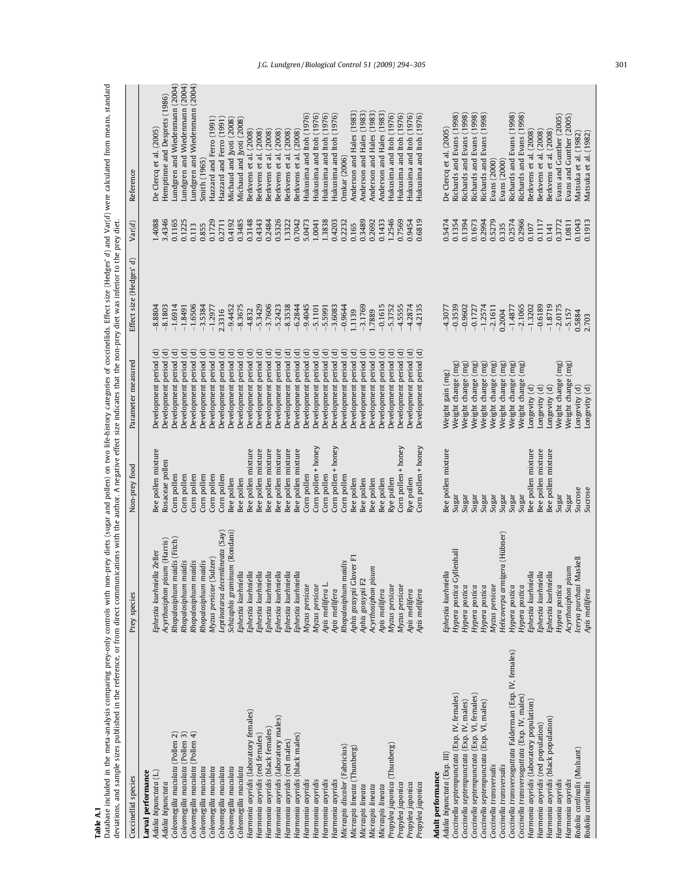| deviations, and sample sizes published in the reference, or from direct communications with the author. A negative effect size indicates that the non-prey diet was inferior to the prey diet. |                                 |                     |                                     |                                  |        |                                |
|------------------------------------------------------------------------------------------------------------------------------------------------------------------------------------------------|---------------------------------|---------------------|-------------------------------------|----------------------------------|--------|--------------------------------|
| Coccinellid species                                                                                                                                                                            | Prey species                    | Non-prey food       | Parameter measured                  | $\theta$<br>Effect size (Hedges' | Var(d) | Reference                      |
| Larval performance                                                                                                                                                                             |                                 |                     |                                     |                                  |        |                                |
| Adalia bipunctata (L.)                                                                                                                                                                         | Ephestia kuehniella Zeller      | Bee pollen mixture  | Development period (d)              | $-8.8804$                        | 1.4088 | De Clercq et al. (2005)        |
| Adalia bipunctata                                                                                                                                                                              | Acyrthosiphon pisum (Harris)    | Rosaceae pollen     | ਦਿ<br>Development period            | $-8.1803$                        | 3.4346 | Hemptinne and Desprets (1986)  |
| Coleomegilla maculata (Pollen 2)                                                                                                                                                               | Rhopalosiphum maidis (Fitch)    | Corn pollen         | ਤਿ<br>Development period            | $-1.6914$                        | 0.1165 | Lundgren and Wiedenmann (2004) |
| Coleomegilla maculata (Pollen 3)                                                                                                                                                               | maidis<br>Rhopalosiphum         | Corn pollen         | <u>ਰ</u><br>Development period      | $-1.8491$                        | 0.1225 | undgren and Wiedenmann (2004). |
| Coleomegilla maculata (Pollen 4)                                                                                                                                                               | Rhopalosiphum maidis            | Corn pollen         | 'ਤ<br>Development period            | $-1.6506$                        | 0.113  | undgren and Wiedenmann (2004)  |
| Coleomegilla maculata                                                                                                                                                                          | maidis<br>Rhopalosiphum         | Corn pollen         | <u>ਰ</u><br>Development period      | $-3.5384$                        | 0.855  | smith (1965)                   |
| Coleomegilla maculata                                                                                                                                                                          | Myzus persicae (Sulzer)         | Corn pollen         | ਦਿ<br>Development period            | $-1.2977$                        | 0.1729 | Hazzard and Ferro (1991)       |
| Coleomegilla maculata                                                                                                                                                                          | Leptinotarsa decemlineata (Say) | Corn pollen         | <u>ਰ</u><br>Development period      | 2.3316                           | 0.2711 | Hazzard and Ferro (1991)       |
| Coleomegilla maculata                                                                                                                                                                          | Schizaphis graminum (Rondani)   | Bee pollen          | <u>ਰ</u><br>Development period      | $-9.4452$                        | 0.4192 | Michaud and Jyoti (2008)       |
| Coleomegilla maculata                                                                                                                                                                          | Ephestia kuehniella             | Bee pollen          | $\widehat{a}$<br>Development period | $-8.3675$                        | 0.3485 | Michaud and Jyoti (2008)       |
| Harmonia axyridis (laboratory females)                                                                                                                                                         | Ephestia kuehniella             | Bee pollen mixture  | $\widehat{c}$<br>Development period | $-4.832$                         | 0.3148 | Berkvens et al. (2008)         |
| Harmonia axyridis (red females)                                                                                                                                                                | Ephestia kuehniella             | Bee pollen mixture  | $\widehat{a}$<br>Development period | $-5.3429$                        | 0.4343 | Berkvens et al. (2008)         |
| Harmonia axyridis (black females)                                                                                                                                                              | Ephestia kuehniella             | Bee pollen mixture  | $\widehat{a}$<br>Development period | $-3.7606$                        | 0.2484 | Berkvens et al. (2008)         |
| Harmonia axyridis (laboratory males)                                                                                                                                                           | Ephestia kuehniella             | Bee pollen mixture  | $\widehat{a}$<br>Development period | $-5.2423$                        | 0.5326 | Berkvens et al. (2008)         |
| Harmonia axyridis (red males)                                                                                                                                                                  | Ephestia kuehniella             | Bee pollen mixture  | $\widehat{a}$<br>Development period | $-8.3538$                        | 1.3322 | Berkvens et al. (2008)         |
| Harmonia axyridis (black males)                                                                                                                                                                | Ephestia kuehniella             | Bee pollen mixture  | <u>ਰ</u><br>Development period      | $-6.2844$                        | 0.7042 | Berkvens et al. (2008)         |
| Harmonia axyridis                                                                                                                                                                              | Myzus persicae                  | Corn pollen         | $\widehat{a}$<br>Development period | $-9.4045$                        | 5.0473 | Hukusima and Itoh (1976)       |
| Harmonia axyridis                                                                                                                                                                              | Myzus persicae                  | Corn pollen + honey | $\widehat{a}$<br>Development period | $-5.1101$                        | 1.0041 | Hukusima and Itoh (1976)       |
| Harmonia axyridis                                                                                                                                                                              | Apis mellifera L.               | Corn pollen         | $\widehat{a}$<br>Development period | $-5.5991$                        | 1.3838 | Hukusima and Itoh (1976)       |
| Harmonia axyridis                                                                                                                                                                              | Apis mellifera                  | Corn pollen + honey | <u>ਰ</u><br>Development period      | $-3.6083$                        | 0.4203 | Hukusima and Itoh (1976)       |
|                                                                                                                                                                                                |                                 |                     |                                     |                                  |        |                                |
| Micraspis discolor (Fabricius)                                                                                                                                                                 | Rhopalosiphum maidis            | Corn pollen         | $\widehat{a}$<br>Development period | $-0.9644$                        | 0.2232 | Omkar (2006)                   |
| Micraspis lineata (Thunberg)                                                                                                                                                                   | Aphis gossypii Glover F1        | Bee pollen          | ਰ<br>Development period             | 1.1139                           | 0.165  | Anderson and Hales (1983)      |
| Micraspis lineata                                                                                                                                                                              | Aphis gossypii F2               | Bee pollen          | $\widehat{c}$<br>Development period | $-3.1769$                        | 0.3489 | Anderson and Hales (1983)      |
| Micraspis lineata                                                                                                                                                                              | Acyrthosiphon pisum             | Bee pollen          | <u>ਰ</u><br>Development period      | 1.7889                           | 0.2692 | Anderson and Hales (1983)      |
| Micraspis lineata                                                                                                                                                                              | Apis mellifera                  | Bee pollen          | $\widehat{a}$<br>Development period | $-0.1615$                        | 0.1433 | Anderson and Hales (1983)      |
| Propylea japonica (Thunberg)                                                                                                                                                                   | Myzus persicae                  | Rye pollen          | $\widehat{d}$<br>Development period | $-5.3752$                        | 1.2546 | Hukusima and Itoh (1976)       |
| Propylea japonica                                                                                                                                                                              | Myzus persicae                  | Corn pollen + honey | $\widehat{a}$<br>Development period | $-4.5555$                        | 0.7569 | Hukusima and Itoh (1976)       |
| Propylea japonica                                                                                                                                                                              | Apis mellifera                  | Rye pollen          | <u>ਰ</u><br>Development period      | $-4.2874$                        | 0.9454 | Hukusima and Itoh (1976)       |
| Propylea japonica                                                                                                                                                                              | Apis mellifera                  | Corn pollen + honey | $\widehat{a}$<br>Development period | $-4.2135$                        | 0.6819 | Hukusima and Itoh (1976)       |
| <b>Adult performance</b>                                                                                                                                                                       |                                 |                     |                                     |                                  |        |                                |
| Adalia bipunctata (Exp. III)                                                                                                                                                                   | Ephestia kuehniella             | Bee pollen mixture  | Weight gain (mg)                    | $-4.3077$                        | 0.5474 | De Clercq et al. (2005)        |
| Coccinella septempunctata (Exp. IV, females)                                                                                                                                                   | Hypera postica Gyllenhall       | Sugar               | Weight change (mg)                  | $-0.3539$                        | 0.1354 | Richards and Evans (1998)      |
| Coccinella septempunctata (Exp. IV, males)                                                                                                                                                     | Hypera postica                  | Sugar               | Weight change (mg)                  | $-0.9602$                        | 0.1394 | Richards and Evans (1998)      |
| Coccinella septempunctata (Exp. VI, females)                                                                                                                                                   | Hypera postica                  | Sugar               | (mg)<br>Weight change (             | $-0.1727$                        | 0.1673 | Richards and Evans (1998)      |
| Coccinella septempunctata (Exp. VI, males)                                                                                                                                                     | Hypera postica                  | Sugar               | (mg)<br>Weight change               | $-1.2574$                        | 0.2994 | Richards and Evans (1998)      |
| Coccinella transversalis                                                                                                                                                                       | Myzus persicae                  | Sugar               | $(\mathrm{mg})$<br>Weight change (  | $-2.1611$                        | 0.5279 | Evans (2000)                   |
| Coccinella transversalis                                                                                                                                                                       | Helicoverpa armigera (Hübner)   | Sugar               | Weight change (mg)                  | 0.2004                           | 0.335  | Evans (2000)                   |
| Coccinella transversoguttata Falderman (Exp. IV, females)                                                                                                                                      | Hypera postica                  | Sugar               | Weight change (mg)                  | $-1.4877$                        | 0.2574 | Richards and Evans (1998)      |
| Coccinella transversoguttata (Exp. IV, males)                                                                                                                                                  | Hypera postica                  | Sugar               | (mg)<br>Weight change               | $-2.1065$                        | 0.2966 | Richards and Evans (1998)      |
| Harmonia axyridis (laboratory population)                                                                                                                                                      | Ephestia kuehniella             | Bee pollen mixture  | Longevity (d)                       | $-1.3202$                        | 0.107  | Berkvens et al. (2008)         |
| Harmonia axyridis (red population)                                                                                                                                                             | Ephestia kuehniella             | Bee pollen mixture  | Longevity (d)                       | $-0.6189$                        | 0.1117 | Berkvens et al. (2008)         |
| Harmonia axyridis (black population)                                                                                                                                                           | Ephestia kuehniella             | Bee pollen mixture  | Longevity (d)                       | $-1.8719$                        | 0.141  | Berkvens et al. (2008)         |
| Harmonia axyridis                                                                                                                                                                              | Hypera postica                  | Sugar               | Weight change (mg)                  | $-2.0175$                        | 0.3772 | Evans and Gunther (2005)       |
| Harmonia axyridis                                                                                                                                                                              | Acyrthosiphon pisum             | Sugar               | Weight change (mg)                  | $-5.157$                         | 1.0811 | Evans and Gunther (2005)       |
| Rodolia cardinalis (Mulsant)                                                                                                                                                                   | Icerya purchasi Maskell         | Sucrose             | Longevity (d)                       | 0.5884                           | 0.1043 | Matsuka et al. (1982)          |
| Rodolia cardinalis                                                                                                                                                                             | Apis mellifera                  | Sucrose             | Longevity (d)                       | 2.703                            | 0.1913 | Matsuka et al. (1982)          |

Table A.1<br>Database included in the meta-analysis comparing prey-only controls with non-prey diets (sugar and pollen) on two life-history categories of coccinellids. Effect size (Hedges' d) and Var(d) were calculated from m Database included in the meta-analysis comparing prey-only controls with non-prey diets (sugar and pollen) on two life-history categories of coccinellids. Effect size (Hedges' d) and Var(d) were calculated from means, stan

 $\mathbf{r}$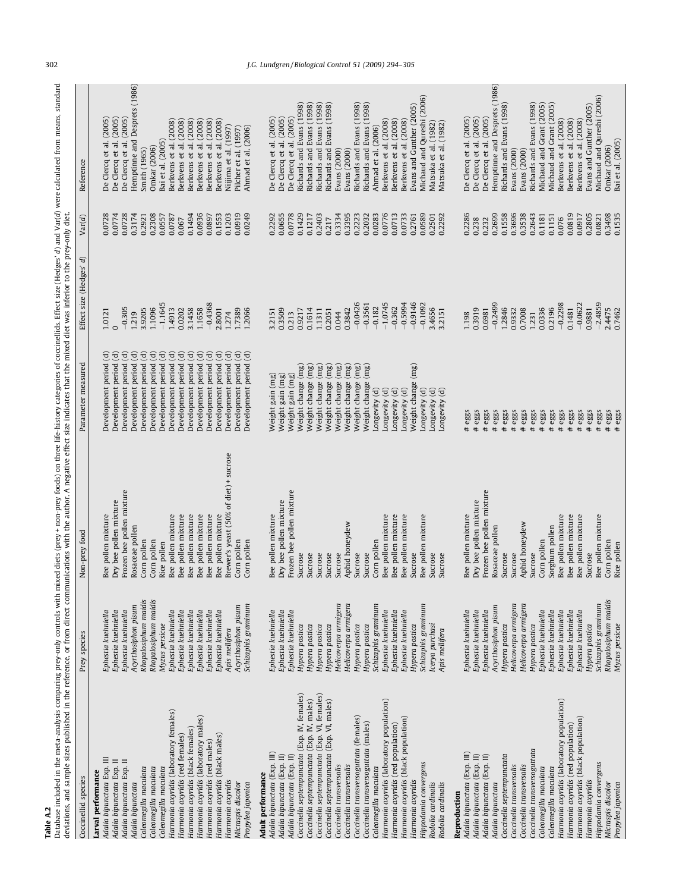|  | Table A.2 |  |
|--|-----------|--|

| Harmonia axyridis (laboratory females)<br>Harmonia axyridis (black females)<br>Harmonia axyridis (red females)<br>Adalia bipunctata Exp. III<br>Adalia bipunctata Exp. II<br>Adalia bipunctata Exp. II<br>Coleomegilla maculata<br>Coleomegilla maculata<br>Coleomegilla maculata<br>Larval performance<br>Adalia bipunctata | Prey species                               | Non-prey food                                | Parameter measured                                  | Effect size (Hedges' d) | Var(d)           | Reference                                                |
|------------------------------------------------------------------------------------------------------------------------------------------------------------------------------------------------------------------------------------------------------------------------------------------------------------------------------|--------------------------------------------|----------------------------------------------|-----------------------------------------------------|-------------------------|------------------|----------------------------------------------------------|
|                                                                                                                                                                                                                                                                                                                              |                                            |                                              |                                                     |                         |                  |                                                          |
|                                                                                                                                                                                                                                                                                                                              | Ephestia kuehniella                        | Bee pollen mixture                           | $\widehat{a}$<br>Development period                 | 1.0121                  | 0.0728           | De Clercq et al. (2005)                                  |
|                                                                                                                                                                                                                                                                                                                              | Ephestia kuehniella                        | Dry bee pollen mixture                       | ਰੁ<br>Development period                            | $\circ$                 | 0.0774           | De Clercq et al. (2005)                                  |
|                                                                                                                                                                                                                                                                                                                              | Acyrthosiphon pisum<br>Ephestia kuehniella | Frozen bee pollen mixture<br>Rosaceae poller | ਰੁ<br>ਰ<br>Development period<br>Development period | $-0.305$<br>1.219       | 0.0728<br>0.3174 | Hemptinne and Desprets (1986)<br>De Clercq et al. (2005) |
|                                                                                                                                                                                                                                                                                                                              | Rhopalosiphum maidis                       | Corn pollen                                  | $\widehat{c}$<br>Development period                 | 3.9205                  | 0.2921           | Smith (1965)                                             |
|                                                                                                                                                                                                                                                                                                                              | Rhopalosiphum maidis                       | Corn pollen                                  | ਰ<br>Development period                             | 1.1096                  | 0.2308           | Omkar (2006)                                             |
|                                                                                                                                                                                                                                                                                                                              | Myzus persicae                             | Rice pollen                                  | <u>ਰ</u><br>Development period                      | $-1.1645$               | 0.0557           | Bai et al. (2005)                                        |
|                                                                                                                                                                                                                                                                                                                              | Ephestia kuehniella                        | Bee pollen mixture                           | $\widehat{d}$<br>Development period                 | 1,4913                  | 0.0787           | Berkvens et al. (2008)                                   |
|                                                                                                                                                                                                                                                                                                                              | Ephestia kuehniella                        | Bee pollen mixture                           | ਦਿ<br>Development period                            | 0.0202                  | 0.067            | Berkvens et al. (2008)                                   |
|                                                                                                                                                                                                                                                                                                                              | Ephestia kuehniella                        | Bee pollen mixture                           | $\widehat{c}$<br>Development period                 | 3.1458                  | 0.1494           | Berkvens et al. (2008)                                   |
| Harmonia axyridis (laboratory males)                                                                                                                                                                                                                                                                                         | Ephestia kuehniella                        | Bee pollen mixture                           | $\widehat{c}$<br>Development period                 | 1.1658                  | 0.0936           | Berkvens et al. (2008)                                   |
| Harmonia axyridis (red males)                                                                                                                                                                                                                                                                                                | Ephestia kuehniella                        | Bee pollen mixture                           | ਰ<br>Development period                             | $-0.4368$               | 0.0897           | Berkvens et al. (2008)                                   |
| Harmonia axyridis (black males)                                                                                                                                                                                                                                                                                              | Ephestia kuehniella                        | Bee pollen mixture                           | $\widehat{c}$<br>Development period                 | 2.8001                  | 0.1553           | Berkvens et al. (2008)                                   |
| Harmonia axyridis                                                                                                                                                                                                                                                                                                            | Apis mellifera                             | (50% of diet) + sucrose<br>Brewer's yeast    | $\widehat{c}$<br>Development period                 | 1.274                   | 0.1203           | Niijima et al. (1997)                                    |
| Micraspis discolor                                                                                                                                                                                                                                                                                                           | Acyrthosiphon pisum                        | Corn pollen                                  | <u>ਰ</u><br>Development period                      | 1.7389                  | 0.0919           | Pilcher et al. (1997)                                    |
| Propylea japonica                                                                                                                                                                                                                                                                                                            | Schizaphis graminum                        | Corn pollen                                  | Development period (d)                              | 1,2066                  | 0.0249           | Ahmad et al. (2006)                                      |
| <b>Adult performance</b>                                                                                                                                                                                                                                                                                                     |                                            |                                              |                                                     |                         |                  |                                                          |
| Adalia bipunctata (Exp. III)                                                                                                                                                                                                                                                                                                 | Ephestia kuehniella                        | Bee pollen mixture                           | Weight gain (mg)                                    | 3.2151                  | 0.2292           | De Clercq et al. (2005)                                  |
| Adalia bipunctata (Exp. II)                                                                                                                                                                                                                                                                                                  | Ephestia kuehniella                        | Dry bee pollen mixture                       | Weight gain (mg)                                    | 0.3509                  | 0.0655           | De Clercq et al. (2005)                                  |
| Adalia bipunctata (Exp. II)                                                                                                                                                                                                                                                                                                  | Ephestia kuehniella                        | Frozen bee pollen mixture                    | Weight gain (mg)                                    | 0.213                   | 0.0778           | De Clercq et al. (2005)                                  |
| Coccinella septempunctata (Exp. IV, females)                                                                                                                                                                                                                                                                                 | Hypera postica                             | Sucrose                                      | Weight change (mg)                                  | 0.9217                  | 0.1429           | Richards and Evans (1998)                                |
| Coccinella septempunctata (Exp. IV, males)                                                                                                                                                                                                                                                                                   | Hypera postica                             | Sucrose                                      | Weight change (mg)                                  | 0.1614                  | 0.1217           | Richards and Evans (1998)                                |
| Coccinella septempunctata (Exp. VI, females)                                                                                                                                                                                                                                                                                 | Hypera postica                             | Sucrose                                      | Weight change (mg)                                  | 1.1311                  | 0.2403           | Richards and Evans (1998)                                |
| Coccinella septempunctata (Exp. VI, males)                                                                                                                                                                                                                                                                                   | Hypera postica                             | Sucrose                                      | Weight change (mg)                                  | 0.2051                  | 0.217            | Richards and Evans (1998)                                |
| Coccinella transversalis                                                                                                                                                                                                                                                                                                     | Helicoverpa armigera                       | Sucrose                                      | Weight change (mg)                                  | 0.044                   | 0.3334           | Evans (2000)                                             |
| Coccinella transversalis                                                                                                                                                                                                                                                                                                     | Helicoverpa armigera                       | Aphid honeydew                               | Weight change (mg)                                  | 0.3842                  | 0.3395           | Evans (2000)                                             |
| Coccinella transversoguttata (females)                                                                                                                                                                                                                                                                                       | Hypera postica                             | Sucrose                                      | (mg)<br>Weight change                               | $-0.0426$               | 0.2223           | Richards and Evans (1998)                                |
| Coccinella transversoguttata (males)                                                                                                                                                                                                                                                                                         | Hypera postica                             | Sucrose                                      | Weight change (mg)                                  | $-0.3561$               | 0.2032           | Richards and Evans (1998)                                |
| Coleomegilla maculata                                                                                                                                                                                                                                                                                                        | Schizaphis graminum                        | Corn pollen                                  | Longevity (d)                                       | $-0.182$                | 0.0283           | Ahmad et al. (2006)                                      |
| Harmonia axyridis (laboratory population)                                                                                                                                                                                                                                                                                    | Ephestia kuehniella                        | Bee pollen mixture                           | Longevity (d)                                       | $-1.0745$               | 0.0776           | Berkvens et al. (2008)                                   |
| Harmonia axyridis (red population)                                                                                                                                                                                                                                                                                           | Ephestia kuehniella                        | Bee pollen mixture                           | Longevity (d)                                       | $-0.362$                | 0.0713           | Berkvens et al. (2008)                                   |
| Harmonia axyridis (black population)                                                                                                                                                                                                                                                                                         | Ephestia kuehniella                        | Bee pollen mixture                           | Longevity (d)                                       | $-0.5994$               | 0.0733           | Berkvens et al. (2008)                                   |
| Harmonia axyridis                                                                                                                                                                                                                                                                                                            | Hypera postica                             | Sucrose                                      | Weight change (mg)                                  | $-0.9146$               | 0.0589<br>0.2761 | Evans and Gunther (2005)                                 |
| Hippodamia convergens<br>Rodolia cardinalis                                                                                                                                                                                                                                                                                  | Schizaphis graminum<br>Icerya purchasi     | Bee pollen mixture<br>Sucrose                | Longevity (d)<br>$\widehat{\mathbf{d}}$             | $-0.1092$<br>3.4656     | 0.2501           | Michaud and Qureshi (2006)<br>Matsuka et al. (1982)      |
| Rodolia cardinalis                                                                                                                                                                                                                                                                                                           | Apis mellifera                             | Sucrose                                      | Longevity (d)<br>Longevity                          | 3.2151                  | 0.2292           | Matsuka et al. (1982)                                    |
| Reproduction                                                                                                                                                                                                                                                                                                                 |                                            |                                              |                                                     |                         |                  |                                                          |
| Adalia bipunctata (Exp. III)                                                                                                                                                                                                                                                                                                 | Ephestia kuehniella                        | Bee pollen mixture                           | eggs<br>#                                           | 1.198                   | 0.2286           | De Clercq et al. (2005)                                  |
| Adalia bipunctata (Exp. II)                                                                                                                                                                                                                                                                                                  | Ephestia kuehniella                        | Dry bee pollen mixture                       | eggs<br>#                                           | 0.3919                  | 0.238            | De Clercq et al. (2005)                                  |
| Adalia bipunctata (Exp. II)                                                                                                                                                                                                                                                                                                  | Ephestia kuehniella                        | Frozen bee pollen mixture                    | eggs<br>#                                           | 0.6981                  | 0.232            | De Clercq et al. (2005)                                  |
| Adalia bipunctata                                                                                                                                                                                                                                                                                                            | Acyrthosiphon pisum                        | Rosaceae pollen                              | eggs<br>#                                           | $-0.2499$               | 0.2699           | Hemptinne and Desprets (1986)                            |
| Coccinella septempunctata                                                                                                                                                                                                                                                                                                    | Hypera postica                             | Sucrose                                      | eggs<br>#                                           | 1.2846                  | 0.1558           | Richards and Evans (1998)                                |
| Coccinella transversalis                                                                                                                                                                                                                                                                                                     | Helicoverpa armigera                       | Sucrose                                      | eggs<br>#                                           | 0.9332                  | 0.3696           | Evans (2000)                                             |
| Coccinella transversalis                                                                                                                                                                                                                                                                                                     | Helicoverpa armigera                       | Aphid honeydew                               | eggs<br>#                                           | 0.7008                  | 0.3538           | Evans (2000)                                             |
| Coccinella transversoguttata                                                                                                                                                                                                                                                                                                 | Hypera postica                             | Sucrose                                      | eggs<br>#                                           | 1.231                   | 0.2643           | Richards and Evans (1998)                                |
| Coleomegilla maculata                                                                                                                                                                                                                                                                                                        | Ephestia kuehniella                        | Corn pollen                                  | eggs<br>#                                           | 0.0336                  | 0.1181           | Michaud and Grant (2005)                                 |
| Coleomegilla maculata                                                                                                                                                                                                                                                                                                        | Ephestia kuehniella                        | Sorghum pollen                               | eggs<br>#                                           | 0.2196                  | 0.1151           | Michaud and Grant (2005)                                 |
| Harmonia axyridis (laboratory population)                                                                                                                                                                                                                                                                                    | Ephestia kuehniella                        | Bee pollen mixture                           | eggs<br>#                                           | $-0.2298$               | 0.076            | Berkvens et al. (2008)                                   |
| Harmonia axyridis (red population)                                                                                                                                                                                                                                                                                           | Ephestia kuehniella                        | Bee pollen mixture                           | eggs<br>#                                           | 0.1481                  | 0.0819           | Berkvens et al. (2008)                                   |
| Harmonia axyridis (black population)                                                                                                                                                                                                                                                                                         | Ephestia kuehniella                        | Bee pollen mixture                           | eggs<br>#                                           | $-0.0622$               | 0.0917           | Berkvens et al. (2008)                                   |
| Harmonia axyridis                                                                                                                                                                                                                                                                                                            | Hypera postica                             | Sucrose                                      | eggs<br>#                                           | 0.9881                  | 0.2805           | Evans and Gunther (2005)                                 |
| Hippodamia convergens                                                                                                                                                                                                                                                                                                        | Schizaphis graminum                        | Bee pollen mixture                           | eggs<br>#                                           | $-2.4859$               | 0.0821           | Michaud and Qureshi (2006)                               |
| Micraspis discolor<br>Propylea japonica                                                                                                                                                                                                                                                                                      | Rhopalosiphum maidis<br>Myzus persicae     | Corn pollen<br>Rice pollen                   | eggs<br>eggs<br>#                                   | 2.4475<br>0.7462        | 0.3498<br>0.1535 | Bai et al. (2005)<br>Omkar (2006)                        |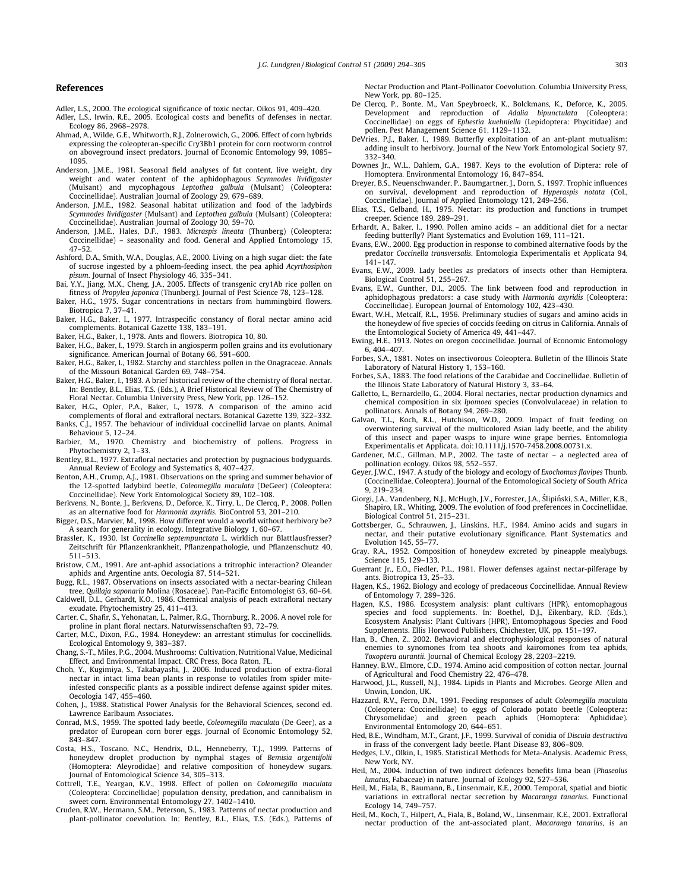#### References

Adler, L.S., 2000. The ecological significance of toxic nectar. Oikos 91, 409–420.

- Adler, L.S., Irwin, R.E., 2005. Ecological costs and benefits of defenses in nectar. Ecology 86, 2968–2978.
- Ahmad, A., Wilde, G.E., Whitworth, R.J., Zolnerowich, G., 2006. Effect of corn hybrids expressing the coleopteran-specific Cry3Bb1 protein for corn rootworm control on aboveground insect predators. Journal of Economic Entomology 99, 1085– 1095.
- Anderson, J.M.E., 1981. Seasonal field analyses of fat content, live weight, dry weight and water content of the aphidophagous Scymnodes lividigaster (Mulsant) and mycophagous Leptothea galbula (Mulsant) (Coleoptera: Coccinellidae). Australian Journal of Zoology 29, 679–689.
- Anderson, J.M.E., 1982. Seasonal habitat utilization and food of the ladybirds Scymnodes lividigaster (Mulsant) and Leptothea galbula (Mulsant) (Coleoptera: Coccinellidae). Australian Journal of Zoology 30, 59–70.
- Anderson, J.M.E., Hales, D.F., 1983. Micraspis lineata (Thunberg) (Coleoptera: Coccinellidae) – seasonality and food. General and Applied Entomology 15, 47–52.
- Ashford, D.A., Smith, W.A., Douglas, A.E., 2000. Living on a high sugar diet: the fate of sucrose ingested by a phloem-feeding insect, the pea aphid Acyrthosiphon pisum. Journal of Insect Physiology 46, 335–341.
- Bai, Y.Y., Jiang, M.X., Cheng, J.A., 2005. Effects of transgenic cry1Ab rice pollen on fitness of Propylea japonica (Thunberg). Journal of Pest Science 78, 123–128.
- Baker, H.G., 1975. Sugar concentrations in nectars from hummingbird flowers. Biotropica 7, 37–41.
- Baker, H.G., Baker, I., 1977. Intraspecific constancy of floral nectar amino acid complements. Botanical Gazette 138, 183–191.
- Baker, H.G., Baker, I., 1978. Ants and flowers. Biotropica 10, 80.
- Baker, H.G., Baker, I., 1979. Starch in angiosperm pollen grains and its evolutionary significance. American Journal of Botany 66, 591–600.
- Baker, H.G., Baker, I., 1982. Starchy and starchless pollen in the Onagraceae. Annals of the Missouri Botanical Garden 69, 748–754.
- Baker, H.G., Baker, I., 1983. A brief historical review of the chemistry of floral nectar. In: Bentley, B.L., Elias, T.S. (Eds.), A Brief Historical Review of The Chemistry of Floral Nectar. Columbia University Press, New York, pp. 126–152.
- Baker, H.G., Opler, P.A., Baker, I., 1978. A comparison of the amino acid complements of floral and extrafloral nectars. Botanical Gazette 139, 322–332.
- Banks, C.J., 1957. The behaviour of individual coccinellid larvae on plants. Animal Behaviour 5, 12–24. Barbier, M., 1970. Chemistry and biochemistry of pollens. Progress in
- Phytochemistry 2, 1–33.
- Bentley, B.L., 1977. Extrafloral nectaries and protection by pugnacious bodyguards. Annual Review of Ecology and Systematics 8, 407–427.
- Benton, A.H., Crump, A.J., 1981. Observations on the spring and summer behavior of the 12-spotted ladybird beetle, Coleomegilla maculata (DeGeer) (Coleoptera: Coccinellidae). New York Entomological Society 89, 102–108.
- Berkvens, N., Bonte, J., Berkvens, D., Deforce, K., Tirry, L., De Clercq, P., 2008. Pollen as an alternative food for Harmonia axyridis. BioControl 53, 201–210.
- Bigger, D.S., Marvier, M., 1998. How different would a world without herbivory be? A search for generality in ecology. Integrative Biology 1, 60–67.
- Brassler, K., 1930. Ist Coccinella septempunctata L. wirklich nur Blattlausfresser? Zeitschrift für Pflanzenkrankheit, Pflanzenpathologie, und Pflanzenschutz 40, 511–513.
- Bristow, C.M., 1991. Are ant-aphid associations a tritrophic interaction? Oleander aphids and Argentine ants. Oecologia 87, 514–521.
- Bugg, R.L., 1987. Observations on insects associated with a nectar-bearing Chilean tree, Quillaja saponaria Molina (Rosaceae). Pan-Pacific Entomologist 63, 60–64.
- Caldwell, D.L., Gerhardt, K.O., 1986. Chemical analysis of peach extrafloral nectary exudate. Phytochemistry 25, 411–413.
- Carter, C., Shafir, S., Yehonatan, L., Palmer, R.G., Thornburg, R., 2006. A novel role for proline in plant floral nectars. Naturwissenschaften 93, 72–79.
- Carter, M.C., Dixon, F.G., 1984. Honeydew: an arrestant stimulus for coccinellids. Ecological Entomology 9, 383–387.
- Chang, S.-T., Miles, P.G., 2004. Mushrooms: Cultivation, Nutritional Value, Medicinal Effect, and Environmental Impact. CRC Press, Boca Raton, FL.
- Choh, Y., Kugimiya, S., Takabayashi, J., 2006. Induced production of extra-floral nectar in intact lima bean plants in response to volatiles from spider miteinfested conspecific plants as a possible indirect defense against spider mites. Oecologia 147, 455–460.
- Cohen, J., 1988. Statistical Power Analysis for the Behavioral Sciences, second ed. Lawrence Earlbaum Associates.
- Conrad, M.S., 1959. The spotted lady beetle, Coleomegilla maculata (De Geer), as a predator of European corn borer eggs. Journal of Economic Entomology 52, 843–847.
- Costa, H.S., Toscano, N.C., Hendrix, D.L., Henneberry, T.J., 1999. Patterns of honeydew droplet production by nymphal stages of Bemisia argentifolii (Homoptera: Aleyrodidae) and relative composition of honeydew sugars. Journal of Entomological Science 34, 305–313.
- Cottrell, T.E., Yeargan, K.V., 1998. Effect of pollen on Coleomegilla maculata (Coleoptera: Coccinellidae) population density, predation, and cannibalism in sweet corn. Environmental Entomology 27, 1402–1410.
- Cruden, R.W., Hermann, S.M., Peterson, S., 1983. Patterns of nectar production and plant-pollinator coevolution. In: Bentley, B.L., Elias, T.S. (Eds.), Patterns of

Nectar Production and Plant-Pollinator Coevolution. Columbia University Press, New York, pp. 80–125.

- De Clercq, P., Bonte, M., Van Speybroeck, K., Bolckmans, K., Deforce, K., 2005. Development and reproduction of Adalia bipunctulata (Coleoptera: Coccinellidae) on eggs of Ephestia kuehniella (Lepidoptera: Phycitidae) and pollen. Pest Management Science 61, 1129–1132.
- DeVries, P.J., Baker, I., 1989. Butterfly exploitation of an ant-plant mutualism: adding insult to herbivory. Journal of the New York Entomological Society 97, 332–340.
- Downes Jr., W.L., Dahlem, G.A., 1987. Keys to the evolution of Diptera: role of Homoptera. Environmental Entomology 16, 847–854.
- Dreyer, B.S., Neuenschwander, P., Baumgartner, J., Dorn, S., 1997. Trophic influences on survival, development and reproduction of Hyperaspis notata (Col., Coccinellidae). Journal of Applied Entomology 121, 249–256.
- Elias, T.S., Gelband, H., 1975. Nectar: its production and functions in trumpet creeper. Science 189, 289–291.
- Erhardt, A., Baker, I., 1990. Pollen amino acids an additional diet for a nectar feeding butterfly? Plant Systematics and Evolution 169, 111–121.
- Evans, E.W., 2000. Egg production in response to combined alternative foods by the predator Coccinella transversalis. Entomologia Experimentalis et Applicata 94, 141–147.
- Evans, E.W., 2009. Lady beetles as predators of insects other than Hemiptera. Biological Control 51, 255–267.
- Evans, E.W., Gunther, D.I., 2005. The link between food and reproduction in aphidophagous predators: a case study with Harmonia axyridis (Coleoptera: Coccinellidae). European Journal of Entomology 102, 423–430.
- Ewart, W.H., Metcalf, R.L., 1956. Preliminary studies of sugars and amino acids in the honeydew of five species of coccids feeding on citrus in California. Annals of the Entomological Society of America 49, 441–447.
- Ewing, H.E., 1913. Notes on oregon coccinellidae. Journal of Economic Entomology 6, 404–407.
- Forbes, S.A., 1881. Notes on insectivorous Coleoptera. Bulletin of the Illinois State Laboratory of Natural History 1, 153–160.
- Forbes, S.A., 1883. The food relations of the Carabidae and Coccinellidae. Bulletin of the Illinois State Laboratory of Natural History 3, 33–64.
- Galletto, L., Bernardello, G., 2004. Floral nectaries, nectar production dynamics and chemical composition in six Ipomoea species (Convolvulaceae) in relation to pollinators. Annals of Botany 94, 269–280.
- Galvan, T.L., Koch, R.L., Hutchison, W.D., 2009. Impact of fruit feeding on overwintering survival of the multicolored Asian lady beetle, and the ability of this insect and paper wasps to injure wine grape berries. Entomologia Experimentalis et Applicata. doi:10.1111/j.1570-7458.2008.00731.x.
- Gardener, M.C., Gillman, M.P., 2002. The taste of nectar a neglected area of pollination ecology. Oikos 98, 552–557.
- Geyer, J.W.C., 1947. A study of the biology and ecology of Exochomus flavipes Thunb. (Coccinellidae, Coleoptera). Journal of the Entomological Society of South Africa 9, 219–234.
- Giorgi, J.A., Vandenberg, N.J., McHugh, J.V., Forrester, J.A., Ślipiński, S.A., Miller, K.B., Shapiro, I.R., Whiting, 2009. The evolution of food preferences in Coccinellidae. Biological Control 51, 215–231.
- Gottsberger, G., Schrauwen, J., Linskins, H.F., 1984. Amino acids and sugars in nectar, and their putative evolutionary significance. Plant Systematics and Evolution 145, 55–77.
- Gray, R.A., 1952. Composition of honeydew excreted by pineapple mealybugs. Science 115, 129–133.
- Guerrant Jr., E.O., Fiedler, P.L., 1981. Flower defenses against nectar-pilferage by ants. Biotropica 13, 25–33.
- Hagen, K.S., 1962. Biology and ecology of predaceous Coccinellidae. Annual Review of Entomology 7, 289–326.
- Hagen, K.S., 1986. Ecosystem analysis: plant cultivars (HPR), entomophagous species and food supplements. In: Boethel, D.J., Eikenbary, R.D. (Eds.), Ecosystem Analysis: Plant Cultivars (HPR), Entomophagous Species and Food Supplements. Ellis Horwood Publishers, Chichester, UK, pp. 151–197.
- Han, B., Chen, Z., 2002. Behavioral and electrophysiological responses of natural enemies to synomones from tea shoots and kairomones from tea aphids, Toxoptera aurantii. Journal of Chemical Ecology 28, 2203–2219.
- Hanney, B.W., Elmore, C.D., 1974. Amino acid composition of cotton nectar. Journal of Agricultural and Food Chemistry 22, 476–478.
- Harwood, J.L., Russell, N.J., 1984. Lipids in Plants and Microbes. George Allen and Unwin, London, UK.
- Hazzard, R.V., Ferro, D.N., 1991. Feeding responses of adult Coleomegilla maculata (Coleoptera: Coccinellidae) to eggs of Colorado potato beetle (Coleoptera: Chrysomelidae) and green peach aphids (Homoptera: Aphididae). Environmental Entomology 20, 644–651.
- Hed, B.E., Windham, M.T., Grant, J.F., 1999. Survival of conidia of Discula destructiva in frass of the convergent lady beetle. Plant Disease 83, 806–809.
- Hedges, L.V., Olkin, I., 1985. Statistical Methods for Meta-Analysis. Academic Press, New York, NY.
- Heil, M., 2004. Induction of two indirect defences benefits lima bean (Phaseolus lunatus, Fabaceae) in nature. Journal of Ecology 92, 527-536.
- Heil, M., Fiala, B., Baumann, B., Linsenmair, K.E., 2000. Temporal, spatial and biotic variations in extrafloral nectar secretion by Macaranga tanarius. Functional Ecology 14, 749–757.
- Heil, M., Koch, T., Hilpert, A., Fiala, B., Boland, W., Linsenmair, K.E., 2001. Extrafloral nectar production of the ant-associated plant, Macaranga tanarius, is an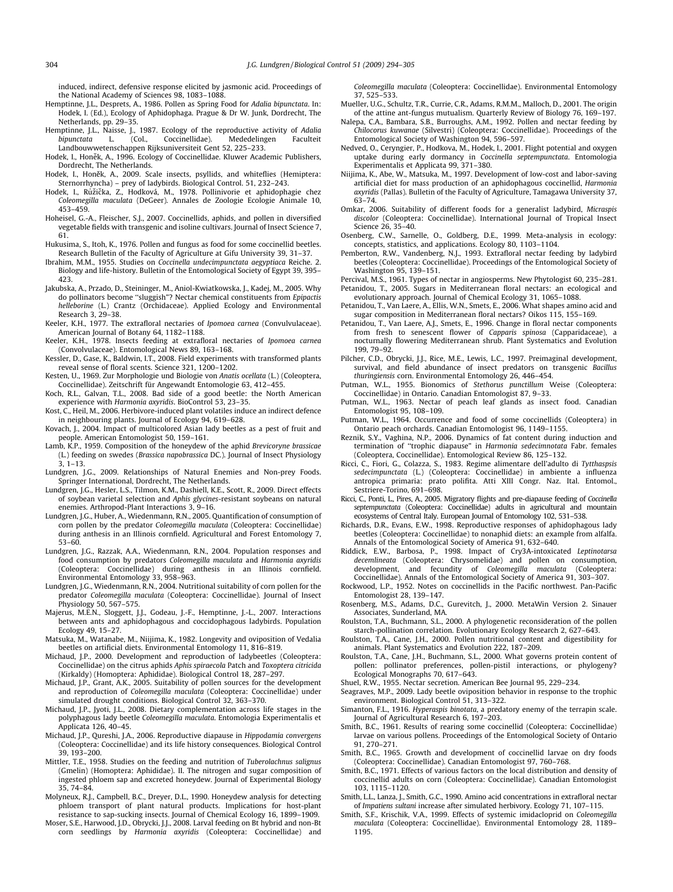induced, indirect, defensive response elicited by jasmonic acid. Proceedings of the National Academy of Sciences 98, 1083–1088.

- Hemptinne, J.L., Desprets, A., 1986. Pollen as Spring Food for Adalia bipunctata. In: Hodek, I. (Ed.), Ecology of Aphidophaga. Prague & Dr W. Junk, Dordrecht, The Netherlands, pp. 29–35.
- Hemptinne, J.L., Naisse, J., 1987. Ecology of the reproductive activity of Adalia<br>bipunctata L. (Col., Coccinellidae). Mededelingen Faculteit Coccinellidae). Landbouwwetenschappen Rijksuniversiteit Gent 52, 225–233.
- Hodek, I., Honěk, A., 1996. Ecology of Coccinellidae. Kluwer Academic Publishers, Dordrecht, The Netherlands.
- Hodek, I., Honěk, A., 2009. Scale insects, psyllids, and whiteflies (Hemiptera: Sternorrhyncha) – prey of ladybirds. Biological Control. 51, 232–243.
- Hodek, I., Růžička, Z., Hodková, M., 1978. Pollinivorie et aphidophagie chez Coleomegilla maculata (DeGeer). Annales de Zoologie Ecologie Animale 10, 453–459.
- Hoheisel, G.-A., Fleischer, S.J., 2007. Coccinellids, aphids, and pollen in diversified vegetable fields with transgenic and isoline cultivars. Journal of Insect Science 7, 61.
- Hukusima, S., Itoh, K., 1976. Pollen and fungus as food for some coccinellid beetles. Research Bulletin of the Faculty of Agriculture at Gifu University 39, 31–37.
- Ibrahim, M.M., 1955. Studies on Coccinella undecimpunctata aegyptiaca Reiche. 2. Biology and life-history. Bulletin of the Entomological Society of Egypt 39, 395– 423.
- Jakubska, A., Przado, D., Steininger, M., Aniol-Kwiatkowska, J., Kadej, M., 2005. Why do pollinators become ''sluggish"? Nectar chemical constituents from Epipactis helleborine (L.) Crantz (Orchidaceae). Applied Ecology and Environmental Research 3, 29–38.
- Keeler, K.H., 1977. The extrafloral nectaries of Ipomoea carnea (Convulvulaceae). American Journal of Botany 64, 1182–1188.
- Keeler, K.H., 1978. Insects feeding at extrafloral nectaries of Ipomoea carnea (Convolvulaceae). Entomological News 89, 163–168.
- Kessler, D., Gase, K., Baldwin, I.T., 2008. Field experiments with transformed plants reveal sense of floral scents. Science 321, 1200–1202.
- Kesten, U., 1969. Zur Morphologie und Biologie von Anatis ocellata (L.) (Coleoptera, Coccinellidae). Zeitschrift für Angewandt Entomologie 63, 412–455.
- Koch, R.L., Galvan, T.L., 2008. Bad side of a good beetle: the North American experience with Harmonia axyridis. BioControl 53, 23–35.
- Kost, C., Heil, M., 2006. Herbivore-induced plant volatiles induce an indirect defence in neighbouring plants. Journal of Ecology 94, 619–628.
- Kovach, J., 2004. Impact of multicolored Asian lady beetles as a pest of fruit and people. American Entomologist 50, 159–161.
- Lamb, K.P., 1959. Composition of the honeydew of the aphid Brevicoryne brassicae (L.) feeding on swedes (Brassica napobrassica DC.). Journal of Insect Physiology 3, 1–13.
- Lundgren, J.G., 2009. Relationships of Natural Enemies and Non-prey Foods. Springer International, Dordrecht, The Netherlands.
- Lundgren, J.G., Hesler, L.S., Tilmon, K.M., Dashiell, K.E., Scott, R., 2009. Direct effects of soybean varietal selection and Aphis glycines-resistant soybeans on natural enemies. Arthropod-Plant Interactions 3, 9–16.
- Lundgren, J.G., Huber, A., Wiedenmann, R.N., 2005. Quantification of consumption of corn pollen by the predator Coleomegilla maculata (Coleoptera: Coccinellidae) during anthesis in an Illinois cornfield. Agricultural and Forest Entomology 7, 53–60.
- Lundgren, J.G., Razzak, A.A., Wiedenmann, R.N., 2004. Population responses and food consumption by predators Coleomegilla maculata and Harmonia axyridis (Coleoptera: Coccinellidae) during anthesis in an Illinois cornfield. Environmental Entomology 33, 958–963.
- Lundgren, J.G., Wiedenmann, R.N., 2004. Nutritional suitability of corn pollen for the predator Coleomegilla maculata (Coleoptera: Coccinellidae). Journal of Insect Physiology 50, 567–575.
- Majerus, M.E.N., Sloggett, J.J., Godeau, J.-F., Hemptinne, J.-L., 2007. Interactions between ants and aphidophagous and coccidophagous ladybirds. Population Ecology 49, 15–27.
- Matsuka, M., Watanabe, M., Niijima, K., 1982. Longevity and oviposition of Vedalia beetles on artificial diets. Environmental Entomology 11, 816–819.
- Michaud, J.P., 2000. Development and reproduction of ladybeetles (Coleoptera: Coccinellidae) on the citrus aphids Aphis spiraecola Patch and Toxoptera citricida (Kirkaldy) (Homoptera: Aphididae). Biological Control 18, 287–297.
- Michaud, J.P., Grant, A.K., 2005. Suitability of pollen sources for the development and reproduction of Coleomegilla maculata (Coleoptera: Coccinellidae) under simulated drought conditions. Biological Control 32, 363–370.
- Michaud, J.P., Jyoti, J.L., 2008. Dietary complementation across life stages in the polyphagous lady beetle Coleomegilla maculata. Entomologia Experimentalis et Applicata 126, 40–45.
- Michaud, J.P., Qureshi, J.A., 2006. Reproductive diapause in Hippodamia convergens (Coleoptera: Coccinellidae) and its life history consequences. Biological Control 39, 193–200.
- Mittler, T.E., 1958. Studies on the feeding and nutrition of Tuberolachnus salignus (Gmelin) (Homoptera: Aphididae). II. The nitrogen and sugar composition of ingested phloem sap and excreted honeydew. Journal of Experimental Biology 35, 74–84.
- Molyneux, R.J., Campbell, B.C., Dreyer, D.L., 1990. Honeydew analysis for detecting phloem transport of plant natural products. Implications for host-plant resistance to sap-sucking insects. Journal of Chemical Ecology 16, 1899–1909.
- Moser, S.E., Harwood, J.D., Obrycki, J.J., 2008. Larval feeding on Bt hybrid and non-Bt corn seedlings by Harmonia axyridis (Coleoptera: Coccinellidae) and

Coleomegilla maculata (Coleoptera: Coccinellidae). Environmental Entomology 37, 525–533.

- Mueller, U.G., Schultz, T.R., Currie, C.R., Adams, R.M.M., Malloch, D., 2001. The origin of the attine ant-fungus mutualism. Quarterly Review of Biology 76, 169–197.
- Nalepa, C.A., Bambara, S.B., Burroughs, A.M., 1992. Pollen and nectar feeding by Chilocorus kuwanae (Silvestri) (Coleoptera: Coccinellidae). Proceedings of the Entomological Society of Washington 94, 596–597.
- Nedved, O., Ceryngier, P., Hodkova, M., Hodek, I., 2001. Flight potential and oxygen uptake during early dormancy in Coccinella septempunctata. Entomologia Experimentalis et Applicata 99, 371–380.
- Niijima, K., Abe, W., Matsuka, M., 1997. Development of low-cost and labor-saving artificial diet for mass production of an aphidophagous coccinellid, Harmonia axyridis (Pallas). Bulletin of the Faculty of Agriculture, Tamagawa University 37, 63–74.
- Omkar, 2006. Suitability of different foods for a generalist ladybird, Micraspis discolor (Coleoptera: Coccinellidae). International Journal of Tropical Insect Science 26, 35–40.
- Osenberg, C.W., Sarnelle, O., Goldberg, D.E., 1999. Meta-analysis in ecology: concepts, statistics, and applications. Ecology 80, 1103–1104.
- Pemberton, R.W., Vandenberg, N.J., 1993. Extrafloral nectar feeding by ladybird beetles (Coleoptera: Coccinellidae). Proceedings of the Entomological Society of Washington 95, 139–151.
- Percival, M.S., 1961. Types of nectar in angiosperms. New Phytologist 60, 235–281. Petanidou, T., 2005. Sugars in Mediterranean floral nectars: an ecological and
- evolutionary approach. Journal of Chemical Ecology 31, 1065–1088. Petanidou, T., Van Laere, A., Ellis, W.N., Smets, E., 2006. What shapes amino acid and
- sugar composition in Mediterranean floral nectars? Oikos 115, 155–169. Petanidou, T., Van Laere, A.J., Smets, E., 1996. Change in floral nectar components
- from fresh to senescent flower of Capparis spinosa (Capparidaceae), a nocturnally flowering Mediterranean shrub. Plant Systematics and Evolution 199, 79–92.
- Pilcher, C.D., Obrycki, J.J., Rice, M.E., Lewis, L.C., 1997. Preimaginal development, survival, and field abundance of insect predators on transgenic Bacillus thuringiensis corn. Environmental Entomology 26, 446–454.
- Putman, W.L., 1955. Bionomics of Stethorus punctillum Weise (Coleoptera: Coccinellidae) in Ontario. Canadian Entomologist 87, 9–33.
- Putman, W.L., 1963. Nectar of peach leaf glands as insect food. Canadian Entomologist 95, 108–109.
- Putman, W.L., 1964. Occurrence and food of some coccinellids (Coleoptera) in
- Ontario peach orchards. Canadian Entomologist 96, 1149–1155. Reznik, S.Y., Vaghina, N.P., 2006. Dynamics of fat content during induction and termination of ''trophic diapause" in Harmonia sedecimnotata Fabr. females (Coleoptera, Coccinellidae). Entomological Review 86, 125–132.
- Ricci, C., Fiori, G., Colazza, S., 1983. Regime alimentare dell'adulto di Tytthaspsis sedecimpunctata (L.) (Coleoptera: Coccinellidae) in ambiente a influenza antropica primaria: prato polifita. Atti XIII Congr. Naz. Ital. Entomol., Sestriere-Torino, 691–698.
- Ricci, C., Ponti, L., Pires, A., 2005. Migratory flights and pre-diapause feeding of Coccinella septempunctata (Coleoptera: Coccinellidae) adults in agricultural and mountain ecosystems of Central Italy. European Journal of Entomology 102, 531–538.
- Richards, D.R., Evans, E.W., 1998. Reproductive responses of aphidophagous lady beetles (Coleoptera: Coccinellidae) to nonaphid diets: an example from alfalfa. Annals of the Entomological Society of America 91, 632–640.
- Riddick, E.W., Barbosa, P., 1998. Impact of Cry3A-intoxicated Leptinotarsa decemlineata (Coleoptera: Chrysomelidae) and pollen on consumption, development, and fecundity of Coleomegilla maculata (Coleoptera: Coccinellidae). Annals of the Entomological Society of America 91, 303–307.
- Rockwood, L.P., 1952. Notes on coccinellids in the Pacific northwest. Pan-Pacific Entomologist 28, 139–147.
- Rosenberg, M.S., Adams, D.C., Gurevitch, J., 2000. MetaWin Version 2. Sinauer Associates, Sunderland, MA.
- Roulston, T.A., Buchmann, S.L., 2000. A phylogenetic reconsideration of the pollen starch-pollination correlation. Evolutionary Ecology Research 2, 627–643.
- Roulston, T.A., Cane, J.H., 2000. Pollen nutritional content and digestibility for animals. Plant Systematics and Evolution 222, 187–209.
- Roulston, T.A., Cane, J.H., Buchmann, S.L., 2000. What governs protein content of pollen: pollinator preferences, pollen-pistil interactions, or phylogeny? Ecological Monographs 70, 617–643.
- Shuel, R.W., 1955. Nectar secretion. American Bee Journal 95, 229–234.
- Seagraves, M.P., 2009. Lady beetle oviposition behavior in response to the trophic environment. Biological Control 51, 313–322.
- Simanton, F.L., 1916. Hyperaspis binotata, a predatory enemy of the terrapin scale. Journal of Agricultural Research 6, 197–203.
- Smith, B.C., 1961. Results of rearing some coccinellid (Coleoptera: Coccinellidae) larvae on various pollens. Proceedings of the Entomological Society of Ontario 91, 270–271.
- Smith, B.C., 1965. Growth and development of coccinellid larvae on dry foods (Coleoptera: Coccinellidae). Canadian Entomologist 97, 760–768.
- Smith, B.C., 1971. Effects of various factors on the local distribution and density of coccinellid adults on corn (Coleoptera: Coccinellidae). Canadian Entomologist 103, 1115–1120.
- Smith, L.L., Lanza, J., Smith, G.C., 1990. Amino acid concentrations in extrafloral nectar of Impatiens sultani increase after simulated herbivory. Ecology 71, 107–115.
- Smith, S.F., Krischik, V.A., 1999. Effects of systemic imidacloprid on Coleomegilla maculata (Coleoptera: Coccinellidae). Environmental Entomology 28, 1189– 1195.